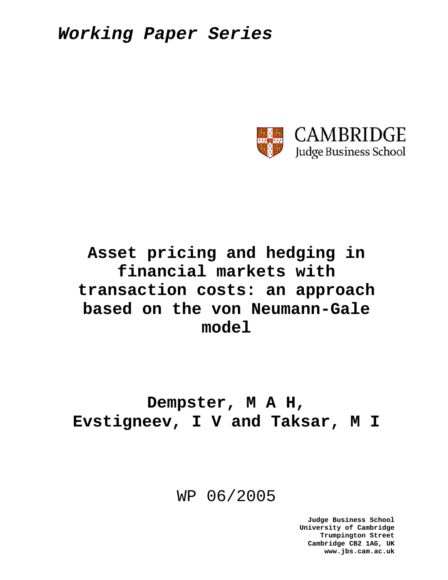

# **Asset pricing and hedging in financial markets with transaction costs: an approach based on the von Neumann-Gale model**

## **Dempster, M A H, Evstigneev, I V and Taksar, M I**

## WP 06/2005

**Judge Business School University of Cambridge Trumpington Street Cambridge CB2 1AG, UK www.jbs.cam.ac.uk**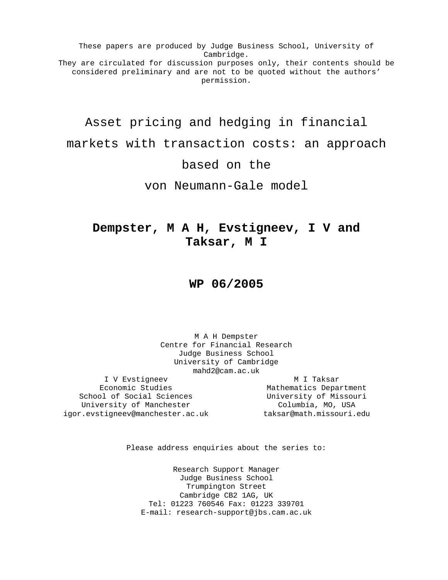These papers are produced by Judge Business School, University of Cambridge. They are circulated for discussion purposes only, their contents should be considered preliminary and are not to be quoted without the authors' permission.

Asset pricing and hedging in financial

markets with transaction costs: an approach

based on the

von Neumann-Gale model

## **Dempster, M A H, Evstigneev, I V and Taksar, M I**

## **WP 06/2005**

M A H Dempster Centre for Financial Research Judge Business School University of Cambridge mahd2@cam.ac.uk

I V Evstigneev Economic Studies School of Social Sciences University of Manchester igor.evstigneev@manchester.ac.uk

M I Taksar Mathematics Department University of Missouri Columbia, MO, USA taksar@math.missouri.edu

Please address enquiries about the series to:

Research Support Manager Judge Business School Trumpington Street Cambridge CB2 1AG, UK Tel: 01223 760546 Fax: 01223 339701 E-mail: research-support@jbs.cam.ac.uk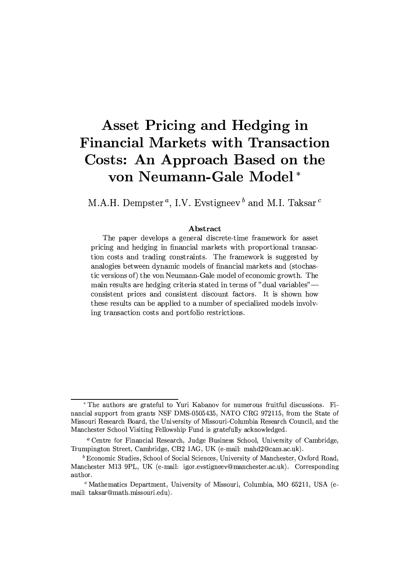# Asset Pricing and Hedging in **Financial Markets with Transaction** Costs: An Approach Based on the von Neumann-Gale Model\*

M.A.H. Dempster<sup>*a*</sup>, I.V. Evstigneev<sup>b</sup> and M.I. Taksar<sup>*c*</sup>

#### Abstract

The paper develops a general discrete-time framework for asset pricing and hedging in financial markets with proportional transaction costs and trading constraints. The framework is suggested by analogies between dynamic models of financial markets and (stochastic versions of) the von Neumann-Gale model of economic growth. The main results are hedging criteria stated in terms of "dual variables"consistent prices and consistent discount factors. It is shown how these results can be applied to a number of specialized models involving transaction costs and portfolio restrictions.

<sup>\*</sup> The authors are grateful to Yuri Kabanov for numerous fruitful discussions. Financial support from grants NSF DMS-0505435, NATO CRG 972115, from the State of Missouri Research Board, the University of Missouri-Columbia Research Council, and the Manchester School Visiting Fellowship Fund is gratefully acknowledged.

<sup>&</sup>lt;sup>a</sup> Centre for Financial Research, Judge Business School, University of Cambridge, Trumpington Street, Cambridge, CB2 1AG, UK (e-mail: mahd2@cam.ac.uk).

 $^b$  Economic Studies, School of Social Sciences, University of Manchester, Oxford Road, Manchester M13 9PL, UK (e-mail: igor.evstigneev@manchester.ac.uk). Corresponding author.

 $\rm^c$ Mathematics Department, University of Missouri, Columbia, MO 65211, USA (email: taksar@math.missouri.edu).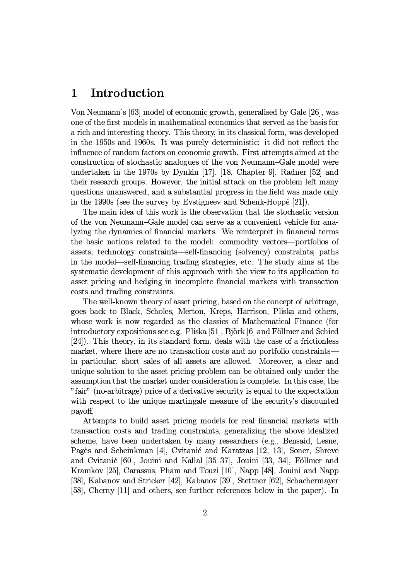#### Introduction  $\mathbf 1$

Von Neumann's [63] model of economic growth, generalised by Gale [26], was one of the first models in mathematical economics that served as the basis for a rich and interesting theory. This theory, in its classical form, was developed in the 1950s and 1960s. It was purely deterministic: it did not reflect the influence of random factors on economic growth. First attempts aimed at the construction of stochastic analogues of the von Neumann–Gale model were undertaken in the 1970s by Dynkin [17], [18, Chapter 9], Radner [52] and their research groups. However, the initial attack on the problem left many questions unanswered, and a substantial progress in the field was made only in the 1990s (see the survey by Evstigneev and Schenk-Hoppé [21]).

The main idea of this work is the observation that the stochastic version of the von Neumann–Gale model can serve as a convenient vehicle for analyzing the dynamics of financial markets. We reinterpret in financial terms the basic notions related to the model: commodity vectors—portfolios of assets; technology constraints—self-financing (solvency) constraints; paths in the model—self-financing trading strategies, etc. The study aims at the systematic development of this approach with the view to its application to asset pricing and hedging in incomplete financial markets with transaction costs and trading constraints.

The well-known theory of asset pricing, based on the concept of arbitrage, goes back to Black, Scholes, Merton, Kreps, Harrison, Pliska and others, whose work is now regarded as the classics of Mathematical Finance (for introductory expositions see e.g. Pliska [51], Björk [6] and Föllmer and Schied  $[24]$ . This theory, in its standard form, deals with the case of a frictionless market, where there are no transaction costs and no portfolio constraints in particular, short sales of all assets are allowed. Moreover, a clear and unique solution to the asset pricing problem can be obtained only under the assumption that the market under consideration is complete. In this case, the "fair" (no-arbitrage) price of a derivative security is equal to the expectation with respect to the unique martingale measure of the security's discounted payoff.

Attempts to build asset pricing models for real financial markets with transaction costs and trading constraints, generalizing the above idealized scheme, have been undertaken by many researchers (e.g., Bensaid, Lesne, Pagès and Scheinkman [4], Cvitanić and Karatzas [12, 13], Soner, Shreve and Cvitanić [60], Jouini and Kallal [35-37], Jouini [33, 34], Föllmer and Kramkov [25], Carassus, Pham and Touzi [10], Napp [48], Jouini and Napp [38], Kabanov and Stricker [42], Kabanov [39], Stettner [62], Schachermayer [58], Cherny [11] and others, see further references below in the paper). In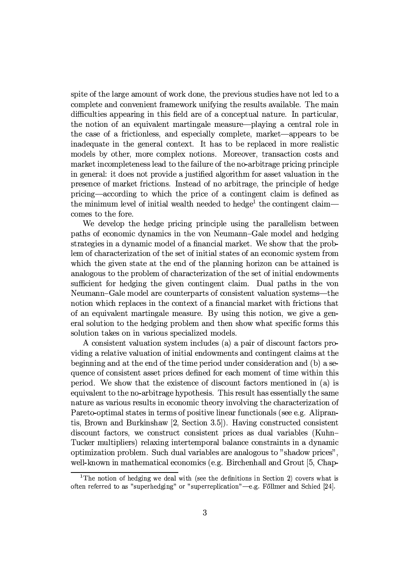spite of the large amount of work done, the previous studies have not led to a complete and convenient framework unifying the results available. The main difficulties appearing in this field are of a conceptual nature. In particular, the notion of an equivalent martingale measure—playing a central role in the case of a frictionless, and especially complete, market—appears to be inadequate in the general context. It has to be replaced in more realistic models by other, more complex notions. Moreover, transaction costs and market incompleteness lead to the failure of the no-arbitrage pricing principle in general: it does not provide a justified algorithm for asset valuation in the presence of market frictions. Instead of no arbitrage, the principle of hedge pricing—according to which the price of a contingent claim is defined as the minimum level of initial wealth needed to hedge<sup>1</sup> the contingent claimcomes to the fore.

We develop the hedge pricing principle using the parallelism between paths of economic dynamics in the von Neumann–Gale model and hedging strategies in a dynamic model of a financial market. We show that the problem of characterization of the set of initial states of an economic system from which the given state at the end of the planning horizon can be attained is analogous to the problem of characterization of the set of initial endowments sufficient for hedging the given contingent claim. Dual paths in the von Neumann–Gale model are counterparts of consistent valuation systems—the notion which replaces in the context of a financial market with frictions that of an equivalent martingale measure. By using this notion, we give a general solution to the hedging problem and then show what specific forms this solution takes on in various specialized models.

A consistent valuation system includes (a) a pair of discount factors providing a relative valuation of initial endowments and contingent claims at the beginning and at the end of the time period under consideration and (b) a sequence of consistent asset prices defined for each moment of time within this period. We show that the existence of discount factors mentioned in (a) is equivalent to the no-arbitrage hypothesis. This result has essentially the same nature as various results in economic theory involving the characterization of Pareto-optimal states in terms of positive linear functionals (see e.g. Aliprantis, Brown and Burkinshaw [2, Section 3.5]). Having constructed consistent discount factors, we construct consistent prices as dual variables (Kuhn-Tucker multipliers) relaxing intertemporal balance constraints in a dynamic optimization problem. Such dual variables are analogous to "shadow prices". well-known in mathematical economics (e.g. Birchenhall and Grout [5, Chap-

<sup>&</sup>lt;sup>1</sup>The notion of hedging we deal with (see the definitions in Section 2) covers what is often referred to as "superhedging" or "superreplication"—e.g. Föllmer and Schied [24].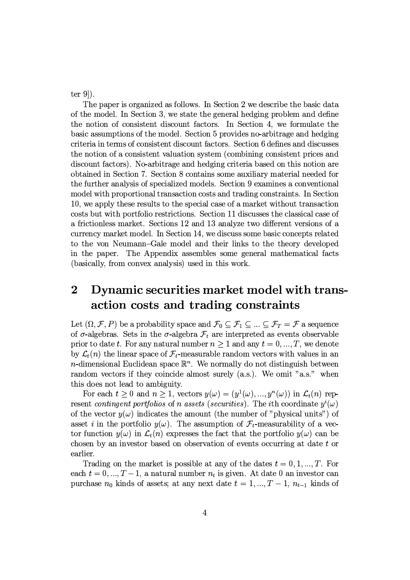ter  $9$ .

The paper is organized as follows. In Section 2 we describe the basic data of the model. In Section 3, we state the general hedging problem and define the notion of consistent discount factors. In Section 4, we formulate the basic assumptions of the model. Section 5 provides no-arbitrage and hedging criteria in terms of consistent discount factors. Section 6 defines and discusses the notion of a consistent valuation system (combining consistent prices and discount factors). No-arbitrage and hedging criteria based on this notion are obtained in Section 7. Section 8 contains some auxiliary material needed for the further analysis of specialized models. Section 9 examines a conventional model with proportional transaction costs and trading constraints. In Section 10, we apply these results to the special case of a market without transaction costs but with portfolio restrictions. Section 11 discusses the classical case of a frictionless market. Sections 12 and 13 analyze two different versions of a currency market model. In Section 14, we discuss some basic concepts related to the von Neumann–Gale model and their links to the theory developed in the paper. The Appendix assembles some general mathematical facts (basically, from convex analysis) used in this work.

### Dynamic securities market model with trans- $\overline{2}$ action costs and trading constraints

Let  $(\Omega, \mathcal{F}, P)$  be a probability space and  $\mathcal{F}_0 \subseteq \mathcal{F}_1 \subseteq ... \subseteq \mathcal{F}_T = \mathcal{F}$  a sequence of  $\sigma$ -algebras. Sets in the  $\sigma$ -algebra  $\mathcal{F}_t$  are interpreted as events observable prior to date t. For any natural number  $n \geq 1$  and any  $t = 0, ..., T$ , we denote by  $\mathcal{L}_t(n)$  the linear space of  $\mathcal{F}_t$ -measurable random vectors with values in an *n*-dimensional Euclidean space  $\mathbb{R}^n$ . We normally do not distinguish between random vectors if they coincide almost surely (a.s.). We omit "a.s." when this does not lead to ambiguity.

For each  $t \geq 0$  and  $n \geq 1$ , vectors  $y(\omega) = (y^1(\omega), ..., y^n(\omega))$  in  $\mathcal{L}_t(n)$  represent contingent portfolios of n assets (securities). The *i*th coordinate  $y^{i}(\omega)$ of the vector  $y(\omega)$  indicates the amount (the number of "physical units") of asset *i* in the portfolio  $y(\omega)$ . The assumption of  $\mathcal{F}_t$ -measurability of a vector function  $y(\omega)$  in  $\mathcal{L}_t(n)$  expresses the fact that the portfolio  $y(\omega)$  can be chosen by an investor based on observation of events occurring at date t or earlier.

Trading on the market is possible at any of the dates  $t = 0, 1, ..., T$ . For each  $t = 0, ..., T - 1$ , a natural number  $n_t$  is given. At date 0 an investor can purchase  $n_0$  kinds of assets; at any next date  $t = 1, ..., T - 1, n_{t-1}$  kinds of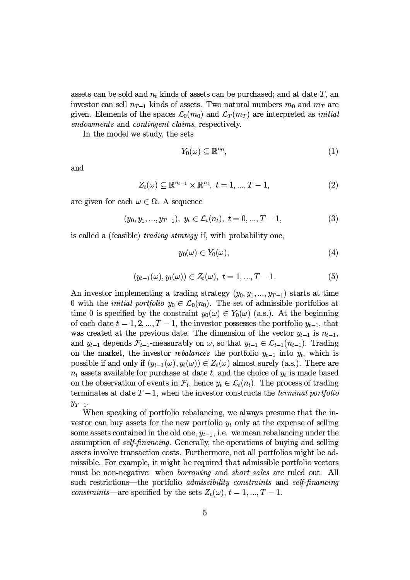assets can be sold and  $n_t$  kinds of assets can be purchased; and at date T, an investor can sell  $n_{T-1}$  kinds of assets. Two natural numbers  $m_0$  and  $m_T$  are given. Elements of the spaces  $\mathcal{L}_0(m_0)$  and  $\mathcal{L}_T(m_T)$  are interpreted as *initial* endowments and contingent claims, respectively.

In the model we study, the sets

$$
Y_0(\omega) \subseteq \mathbb{R}^{n_0},\tag{1}
$$

and

$$
Z_t(\omega) \subseteq \mathbb{R}^{n_{t-1}} \times \mathbb{R}^{n_t}, \ t = 1, ..., T-1,
$$
 (2)

are given for each  $\omega \in \Omega$ . A sequence

$$
(y_0, y_1, ..., y_{T-1}), y_t \in \mathcal{L}_t(n_t), t = 0, ..., T-1,
$$
\n(3)

is called a (feasible) *trading strategy* if, with probability one,

$$
y_0(\omega) \in Y_0(\omega), \tag{4}
$$

$$
(y_{t-1}(\omega), y_t(\omega)) \in Z_t(\omega), \ t = 1, ..., T - 1.
$$
 (5)

An investor implementing a trading strategy  $(y_0, y_1, ..., y_{T-1})$  starts at time 0 with the *initial portfolio*  $y_0 \in \mathcal{L}_0(n_0)$ . The set of admissible portfolios at time 0 is specified by the constraint  $y_0(\omega) \in Y_0(\omega)$  (a.s.). At the beginning of each date  $t = 1, 2, ..., T - 1$ , the investor possesses the portfolio  $y_{t-1}$ , that was created at the previous date. The dimension of the vector  $y_{t-1}$  is  $n_{t-1}$ , and  $y_{t-1}$  depends  $\mathcal{F}_{t-1}$ -measurably on  $\omega$ , so that  $y_{t-1} \in \mathcal{L}_{t-1}(n_{t-1})$ . Trading on the market, the investor *rebalances* the portfolio  $y_{t-1}$  into  $y_t$ , which is possible if and only if  $(y_{t-1}(\omega), y_t(\omega)) \in Z_t(\omega)$  almost surely (a.s.). There are  $n_t$  assets available for purchase at date t, and the choice of  $y_t$  is made based on the observation of events in  $\mathcal{F}_t$ , hence  $y_t \in \mathcal{L}_t(n_t)$ . The process of trading terminates at date  $T-1$ , when the investor constructs the *terminal portfolio*  $y_{T-1}$ .

When speaking of portfolio rebalancing, we always presume that the investor can buy assets for the new portfolio  $y_t$  only at the expense of selling some assets contained in the old one,  $y_{t-1}$ , i.e. we mean rebalancing under the assumption of *self-financing*. Generally, the operations of buying and selling assets involve transaction costs. Furthermore, not all portfolios might be admissible. For example, it might be required that admissible portfolio vectors must be non-negative: when *borrowing* and *short sales* are ruled out. All such restrictions—the portfolio *admissibility constraints* and *self-financing* constraints—are specified by the sets  $Z_t(\omega)$ ,  $t = 1, ..., T - 1$ .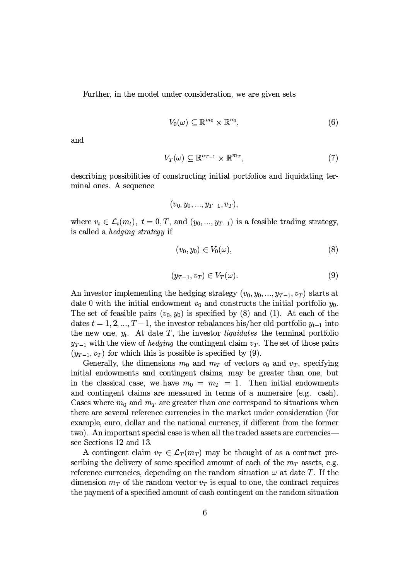Further, in the model under consideration, we are given sets

$$
V_0(\omega) \subseteq \mathbb{R}^{m_0} \times \mathbb{R}^{n_0},\tag{6}
$$

and

$$
V_T(\omega) \subseteq \mathbb{R}^{n_{T-1}} \times \mathbb{R}^{m_T},\tag{7}
$$

describing possibilities of constructing initial portfolios and liquidating terminal ones. A sequence

$$
(v_0,y_0,...,y_{T-1},v_T)\\
$$

where  $v_t \in \mathcal{L}_t(m_t)$ ,  $t = 0, T$ , and  $(y_0, ..., y_{T-1})$  is a feasible trading strategy, is called a *hedging strategy* if

$$
(v_0, y_0) \in V_0(\omega), \tag{8}
$$

$$
(y_{T-1}, v_T) \in V_T(\omega). \tag{9}
$$

An investor implementing the hedging strategy  $(v_0, y_0, ..., y_{T-1}, v_T)$  starts at date 0 with the initial endowment  $v_0$  and constructs the initial portfolio  $y_0$ . The set of feasible pairs  $(v_0, y_0)$  is specified by (8) and (1). At each of the dates  $t = 1, 2, ..., T-1$ , the investor rebalances his/her old portfolio  $y_{t-1}$  into the new one,  $y_t$ . At date T, the investor *liquidates* the terminal portfolio  $y_{T-1}$  with the view of *hedging* the contingent claim  $v_T$ . The set of those pairs  $(y_{T-1}, v_T)$  for which this is possible is specified by (9).

Generally, the dimensions  $m_0$  and  $m_T$  of vectors  $v_0$  and  $v_T$ , specifying initial endowments and contingent claims, may be greater than one, but in the classical case, we have  $m_0 = m_T = 1$ . Then initial endowments and contingent claims are measured in terms of a numeraire (e.g. cash). Cases where  $m_0$  and  $m_T$  are greater than one correspond to situations when there are several reference currencies in the market under consideration (for example, euro, dollar and the national currency, if different from the former two). An important special case is when all the traded assets are currencies see Sections 12 and 13.

A contingent claim  $v_T \in \mathcal{L}_T(m_T)$  may be thought of as a contract prescribing the delivery of some specified amount of each of the  $m_T$  assets, e.g. reference currencies, depending on the random situation  $\omega$  at date T. If the dimension  $m_T$  of the random vector  $v_T$  is equal to one, the contract requires the payment of a specified amount of cash contingent on the random situation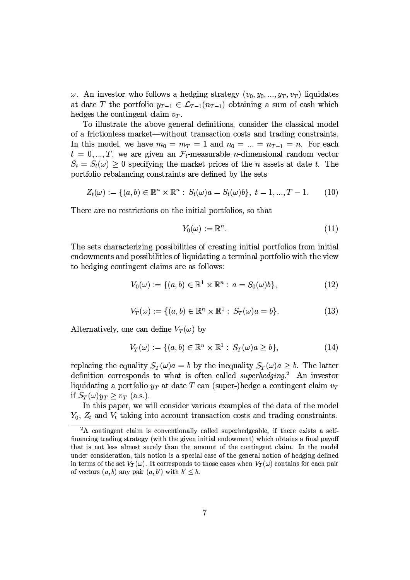$\omega$ . An investor who follows a hedging strategy  $(v_0, y_0, ..., y_T, v_T)$  liquidates at date T the portfolio  $y_{T-1} \in \mathcal{L}_{T-1}(n_{T-1})$  obtaining a sum of cash which hedges the contingent claim  $v_T$ .

To illustrate the above general definitions, consider the classical model of a frictionless market—without transaction costs and trading constraints. In this model, we have  $m_0 = m_T = 1$  and  $n_0 = ... = n_{T-1} = n$ . For each  $t = 0, ..., T$ , we are given an  $\mathcal{F}_t$ -measurable *n*-dimensional random vector  $S_t = S_t(\omega) \geq 0$  specifying the market prices of the *n* assets at date *t*. The portfolio rebalancing constraints are defined by the sets

$$
Z_t(\omega) := \{ (a, b) \in \mathbb{R}^n \times \mathbb{R}^n : S_t(\omega)a = S_t(\omega)b \}, t = 1, ..., T - 1.
$$
 (10)

There are no restrictions on the initial portfolios, so that

$$
Y_0(\omega) := \mathbb{R}^n. \tag{11}
$$

The sets characterizing possibilities of creating initial portfolios from initial endowments and possibilities of liquidating a terminal portfolio with the view to hedging contingent claims are as follows:

$$
V_0(\omega) := \{ (a, b) \in \mathbb{R}^1 \times \mathbb{R}^n : a = S_0(\omega)b \},
$$
 (12)

$$
V_T(\omega) := \{ (a, b) \in \mathbb{R}^n \times \mathbb{R}^1 : S_T(\omega) a = b \}.
$$
 (13)

Alternatively, one can define  $V_T(\omega)$  by

$$
V_T(\omega) := \{ (a, b) \in \mathbb{R}^n \times \mathbb{R}^1 : S_T(\omega) a \ge b \},\tag{14}
$$

replacing the equality  $S_T(\omega)a = b$  by the inequality  $S_T(\omega)a \geq b$ . The latter definition corresponds to what is often called *superhedging*.<sup>2</sup> An investor liquidating a portfolio  $y_T$  at date T can (super-)hedge a contingent claim  $v_T$ if  $S_T(\omega) \nu_T > \nu_T$  (a.s.).

In this paper, we will consider various examples of the data of the model  $Y_0$ ,  $Z_t$  and  $V_t$  taking into account transaction costs and trading constraints.

<sup>&</sup>lt;sup>2</sup>A contingent claim is conventionally called superhedgeable, if there exists a selffinancing trading strategy (with the given initial endowment) which obtains a final payoff that is not less almost surely than the amount of the contingent claim. In the model under consideration, this notion is a special case of the general notion of hedging defined in terms of the set  $V_T(\omega)$ . It corresponds to those cases when  $V_T(\omega)$  contains for each pair of vectors  $(a, b)$  any pair  $(a, b')$  with  $b' \leq b$ .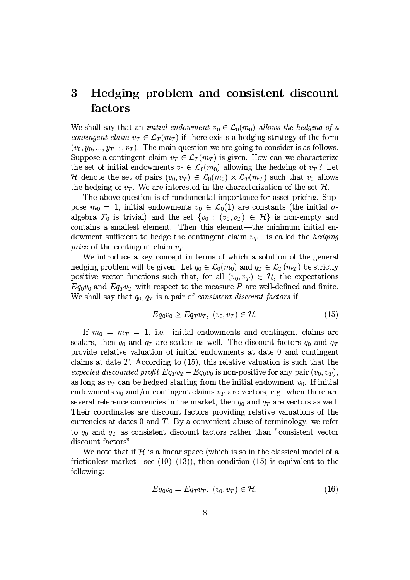### Hedging problem and consistent discount 3 factors

We shall say that an *initial endowment*  $v_0 \in \mathcal{L}_0(m_0)$  allows the hedging of a *contingent claim*  $v_T \in \mathcal{L}_T(m_T)$  if there exists a hedging strategy of the form  $(v_0, y_0, ..., y_{T-1}, v_T)$ . The main question we are going to consider is as follows. Suppose a contingent claim  $v_T \in \mathcal{L}_T(m_T)$  is given. How can we characterize the set of initial endowments  $v_0 \in \mathcal{L}_0(m_0)$  allowing the hedging of  $v_T$ ? Let H denote the set of pairs  $(v_0, v_T) \in \mathcal{L}_0(m_0) \times \mathcal{L}_T(m_T)$  such that  $v_0$  allows the hedging of  $v_T$ . We are interested in the characterization of the set  $\mathcal{H}$ .

The above question is of fundamental importance for asset pricing. Suppose  $m_0 = 1$ , initial endowments  $v_0 \in \mathcal{L}_0(1)$  are constants (the initial  $\sigma$ algebra  $\mathcal{F}_0$  is trivial) and the set  $\{v_0 : (v_0, v_T) \in \mathcal{H}\}\$ is non-empty and contains a smallest element. Then this element—the minimum initial endowment sufficient to hedge the contingent claim  $v_T$ —is called the hedging *price* of the contingent claim  $v_T$ .

We introduce a key concept in terms of which a solution of the general hedging problem will be given. Let  $q_0 \in \mathcal{L}_0(m_0)$  and  $q_T \in \mathcal{L}_T(m_T)$  be strictly positive vector functions such that, for all  $(v_0, v_T) \in \mathcal{H}$ , the expectations  $Eq_0v_0$  and  $Eq_Tv_T$  with respect to the measure P are well-defined and finite. We shall say that  $q_0, q_T$  is a pair of *consistent discount factors* if

$$
Eq_0v_0 \ge Eq_Tv_T, \ (v_0, v_T) \in \mathcal{H}.\tag{15}
$$

If  $m_0 = m_T = 1$ , i.e. initial endowments and contingent claims are scalars, then  $q_0$  and  $q_T$  are scalars as well. The discount factors  $q_0$  and  $q_T$ provide relative valuation of initial endowments at date 0 and contingent claims at date  $T$ . According to (15), this relative valuation is such that the expected discounted profit  $Eq_T v_T - Eq_0 v_0$  is non-positive for any pair  $(v_0, v_T)$ , as long as  $v_T$  can be hedged starting from the initial endowment  $v_0$ . If initial endowments  $v_0$  and/or contingent claims  $v_T$  are vectors, e.g. when there are several reference currencies in the market, then  $q_0$  and  $q_T$  are vectors as well. Their coordinates are discount factors providing relative valuations of the currencies at dates  $0$  and  $T$ . By a convenient abuse of terminology, we refer to  $q_0$  and  $q_T$  as consistent discount factors rather than "consistent vector discount factors".

We note that if H is a linear space (which is so in the classical model of a frictionless market—see  $(10)$ – $(13)$ ), then condition (15) is equivalent to the following:

$$
Eq_0v_0 = Eq_Tv_T, \ (v_0, v_T) \in \mathcal{H}.\tag{16}
$$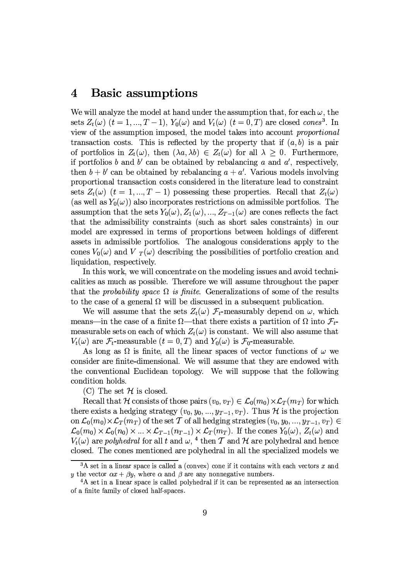#### **Basic assumptions**  $\boldsymbol{4}$

We will analyze the model at hand under the assumption that, for each  $\omega$ , the sets  $Z_t(\omega)$   $(t = 1, ..., T - 1)$ ,  $Y_0(\omega)$  and  $V_t(\omega)$   $(t = 0, T)$  are closed cones<sup>3</sup>. In view of the assumption imposed, the model takes into account proportional transaction costs. This is reflected by the property that if  $(a, b)$  is a pair of portfolios in  $Z_t(\omega)$ , then  $(\lambda a, \lambda b) \in Z_t(\omega)$  for all  $\lambda \geq 0$ . Furthermore, if portfolios b and b' can be obtained by rebalancing a and  $a'$ , respectively, then  $b + b'$  can be obtained by rebalancing  $a + a'$ . Various models involving proportional transaction costs considered in the literature lead to constraint sets  $Z_t(\omega)$   $(t = 1, ..., T - 1)$  possessing these properties. Recall that  $Z_t(\omega)$ (as well as  $Y_0(\omega)$ ) also incorporates restrictions on admissible portfolios. The assumption that the sets  $Y_0(\omega), Z_1(\omega), ..., Z_{T-1}(\omega)$  are cones reflects the fact that the admissibility constraints (such as short sales constraints) in our model are expressed in terms of proportions between holdings of different assets in admissible portfolios. The analogous considerations apply to the cones  $V_0(\omega)$  and V  $_T(\omega)$  describing the possibilities of portfolio creation and liquidation, respectively.

In this work, we will concentrate on the modeling issues and avoid technicalities as much as possible. Therefore we will assume throughout the paper that the *probability space*  $\Omega$  *is finite.* Generalizations of some of the results to the case of a general  $\Omega$  will be discussed in a subsequent publication.

We will assume that the sets  $Z_t(\omega)$   $\mathcal{F}_t$ -measurably depend on  $\omega$ , which means—in the case of a finite  $\Omega$ —that there exists a partition of  $\Omega$  into  $\mathcal{F}_t$ measurable sets on each of which  $Z_t(\omega)$  is constant. We will also assume that  $V_t(\omega)$  are  $\mathcal{F}_t$ -measurable  $(t = 0, T)$  and  $Y_0(\omega)$  is  $\mathcal{F}_0$ -measurable.

As long as  $\Omega$  is finite, all the linear spaces of vector functions of  $\omega$  we consider are finite-dimensional. We will assume that they are endowed with the conventional Euclidean topology. We will suppose that the following condition holds.

(C) The set  $\mathcal H$  is closed.

Recall that H consists of those pairs  $(v_0, v_T) \in \mathcal{L}_0(m_0) \times \mathcal{L}_T(m_T)$  for which there exists a hedging strategy  $(v_0, y_0, ..., y_{T-1}, v_T)$ . Thus H is the projection on  $\mathcal{L}_0(m_0) \times \mathcal{L}_T(m_T)$  of the set T of all hedging strategies  $(v_0, y_0, ..., y_{T-1}, v_T) \in$  $\mathcal{L}_0(m_0) \times \mathcal{L}_0(n_0) \times ... \times \mathcal{L}_{T-1}(n_{T-1}) \times \mathcal{L}_T(m_T)$ . If the cones  $Y_0(\omega)$ ,  $Z_t(\omega)$  and  $V_t(\omega)$  are polyhedral for all t and  $\omega$ , <sup>4</sup> then T and H are polyhedral and hence closed. The cones mentioned are polyhedral in all the specialized models we

<sup>&</sup>lt;sup>3</sup>A set in a linear space is called a (convex) cone if it contains with each vectors x and y the vector  $\alpha x + \beta y$ , where  $\alpha$  and  $\beta$  are any nonnegative numbers.

 ${}^{4}$ A set in a linear space is called polyhedral if it can be represented as an intersection of a finite family of closed half-spaces.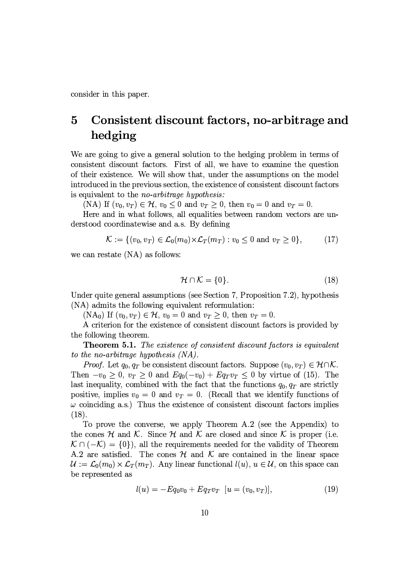consider in this paper.

## Consistent discount factors, no-arbitrage and  $\overline{5}$ hedging

We are going to give a general solution to the hedging problem in terms of consistent discount factors. First of all, we have to examine the question of their existence. We will show that, under the assumptions on the model introduced in the previous section, the existence of consistent discount factors is equivalent to the *no-arbitrage hypothesis:* 

(NA) If  $(v_0, v_T) \in \mathcal{H}$ ,  $v_0 \leq 0$  and  $v_T \geq 0$ , then  $v_0 = 0$  and  $v_T = 0$ .

Here and in what follows, all equalities between random vectors are understood coordinatewise and a.s. By defining

$$
\mathcal{K} := \{ (v_0, v_T) \in \mathcal{L}_0(m_0) \times \mathcal{L}_T(m_T) : v_0 \le 0 \text{ and } v_T \ge 0 \},\tag{17}
$$

we can restate  $(NA)$  as follows:

$$
\mathcal{H} \cap \mathcal{K} = \{0\}.\tag{18}
$$

Under quite general assumptions (see Section 7, Proposition 7.2), hypothesis (NA) admits the following equivalent reformulation:

 $(NA_0)$  If  $(v_0, v_T) \in \mathcal{H}$ ,  $v_0 = 0$  and  $v_T \geq 0$ , then  $v_T = 0$ .

A criterion for the existence of consistent discount factors is provided by the following theorem.

**Theorem 5.1.** The existence of consistent discount factors is equivalent to the no-arbitrage hypothesis  $(NA)$ .

*Proof.* Let  $q_0, q_T$  be consistent discount factors. Suppose  $(v_0, v_T) \in \mathcal{H} \cap \mathcal{K}$ . Then  $-v_0 \geq 0$ ,  $v_T \geq 0$  and  $Eq_0(-v_0) + Eq_Tv_T \leq 0$  by virtue of (15). The last inequality, combined with the fact that the functions  $q_0, q_T$  are strictly positive, implies  $v_0 = 0$  and  $v_T = 0$ . (Recall that we identify functions of  $\omega$  coinciding a.s.) Thus the existence of consistent discount factors implies  $(18).$ 

To prove the converse, we apply Theorem A.2 (see the Appendix) to the cones H and K. Since H and K are closed and since K is proper (i.e.  $\mathcal{K} \cap (-\mathcal{K}) = \{0\}$ , all the requirements needed for the validity of Theorem A.2 are satisfied. The cones  $H$  and  $K$  are contained in the linear space  $\mathcal{U} := \mathcal{L}_0(m_0) \times \mathcal{L}_T(m_T)$ . Any linear functional  $l(u)$ ,  $u \in \mathcal{U}$ , on this space can be represented as

$$
l(u) = -Eq_0v_0 + Eq_Tv_T \quad [u = (v_0, v_T)], \tag{19}
$$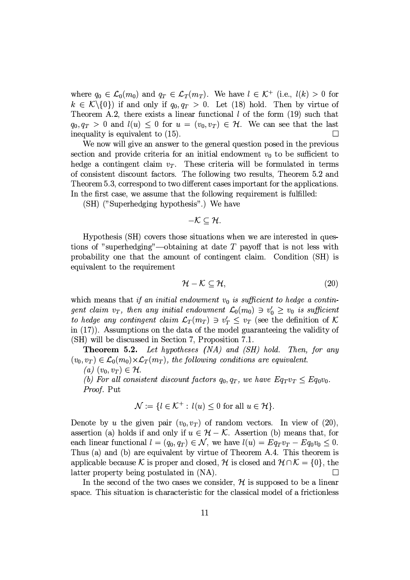where  $q_0 \in \mathcal{L}_0(m_0)$  and  $q_T \in \mathcal{L}_T(m_T)$ . We have  $l \in \mathcal{K}^+$  (i.e.,  $l(k) > 0$  for  $k \in \mathcal{K}\backslash\{0\}$  if and only if  $q_0, q_T > 0$ . Let (18) hold. Then by virtue of Theorem A.2, there exists a linear functional  $l$  of the form (19) such that  $q_0, q_T > 0$  and  $l(u) \leq 0$  for  $u = (v_0, v_T) \in \mathcal{H}$ . We can see that the last inequality is equivalent to  $(15)$ .  $\Box$ 

We now will give an answer to the general question posed in the previous section and provide criteria for an initial endowment  $v_0$  to be sufficient to hedge a contingent claim  $v_T$ . These criteria will be formulated in terms of consistent discount factors. The following two results, Theorem 5.2 and Theorem 5.3, correspond to two different cases important for the applications. In the first case, we assume that the following requirement is fulfilled:

(SH) ("Superhedging hypothesis".) We have

 $-\mathcal{K} \subset \mathcal{H}$ .

Hypothesis (SH) covers those situations when we are interested in questions of "superhedging"—obtaining at date  $T$  payoff that is not less with probability one that the amount of contingent claim. Condition (SH) is equivalent to the requirement

$$
\mathcal{H} - \mathcal{K} \subseteq \mathcal{H},\tag{20}
$$

which means that if an initial endowment  $v_0$  is sufficient to hedge a contingent claim  $v_T$ , then any initial endowment  $\mathcal{L}_0(m_0) \ni v'_0 \geq v_0$  is sufficient to hedge any contingent claim  $\mathcal{L}_T(m_T) \ni v'_T \leq v_T$  (see the definition of K) in  $(17)$ ). Assumptions on the data of the model guaranteeing the validity of (SH) will be discussed in Section 7, Proposition 7.1.

**Theorem 5.2.** Let hypotheses (NA) and (SH) hold. Then, for any  $(v_0, v_T) \in \mathcal{L}_0(m_0) \times \mathcal{L}_T(m_T)$ , the following conditions are equivalent.

(a)  $(v_0, v_T) \in \mathcal{H}$ .

(b) For all consistent discount factors  $q_0, q_T$ , we have  $Eq_Tv_T \leq Eq_0v_0$ . Proof. Put

$$
\mathcal{N} := \{ l \in \mathcal{K}^+ : l(u) \leq 0 \text{ for all } u \in \mathcal{H} \}.
$$

Denote by u the given pair  $(v_0, v_T)$  of random vectors. In view of (20), assertion (a) holds if and only if  $u \in \mathcal{H} - \mathcal{K}$ . Assertion (b) means that, for each linear functional  $l = (q_0, q_T) \in \mathcal{N}$ , we have  $l(u) = Eq_T v_T - Eq_0 v_0 \leq 0$ . Thus (a) and (b) are equivalent by virtue of Theorem A.4. This theorem is applicable because K is proper and closed, H is closed and  $H \cap K = \{0\}$ , the latter property being postulated in (NA).  $\Box$ 

In the second of the two cases we consider,  $\mathcal H$  is supposed to be a linear space. This situation is characteristic for the classical model of a frictionless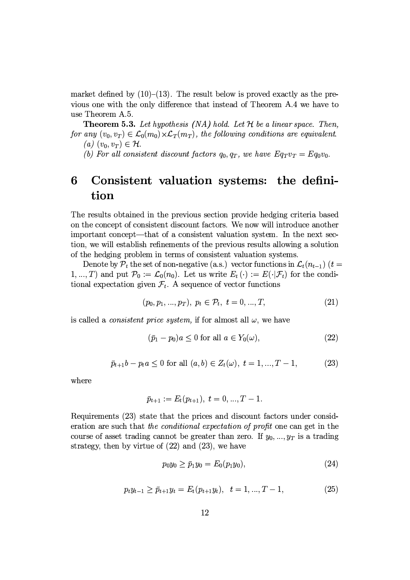market defined by  $(10)$ – $(13)$ . The result below is proved exactly as the previous one with the only difference that instead of Theorem A.4 we have to use Theorem A.5.

**Theorem 5.3.** Let hypothesis (NA) hold. Let  $H$  be a linear space. Then, for any  $(v_0, v_T) \in \mathcal{L}_0(m_0) \times \mathcal{L}_T(m_T)$ , the following conditions are equivalent. (a)  $(v_0, v_T) \in \mathcal{H}$ .

(b) For all consistent discount factors  $q_0, q_T$ , we have  $Eq_Tv_T = Eq_0v_0$ .

#### Consistent valuation systems: the defini-6 tion

The results obtained in the previous section provide hedging criteria based on the concept of consistent discount factors. We now will introduce another important concept—that of a consistent valuation system. In the next section, we will establish refinements of the previous results allowing a solution of the hedging problem in terms of consistent valuation systems.

Denote by  $\mathcal{P}_t$  the set of non-negative (a.s.) vector functions in  $\mathcal{L}_t(n_{t-1})$  (t =  $(1, ..., T)$  and put  $\mathcal{P}_0 := \mathcal{L}_0(n_0)$ . Let us write  $E_t(\cdot) := E(\cdot | \mathcal{F}_t)$  for the conditional expectation given  $\mathcal{F}_t$ . A sequence of vector functions

$$
(p_0, p_1, ..., p_T), \ p_t \in \mathcal{P}_t, \ t = 0, ..., T,
$$
\n
$$
(21)
$$

is called a *consistent price system*, if for almost all  $\omega$ , we have

$$
(\bar{p}_1 - p_0)a \le 0 \text{ for all } a \in Y_0(\omega), \tag{22}
$$

$$
\bar{p}_{t+1}b - p_t a \le 0 \text{ for all } (a, b) \in Z_t(\omega), \ t = 1, ..., T - 1,
$$
 (23)

where

$$
\bar{p}_{t+1} := E_t(p_{t+1}), \ t = 0, ..., T-1.
$$

Requirements (23) state that the prices and discount factors under consideration are such that the conditional expectation of profit one can get in the course of asset trading cannot be greater than zero. If  $y_0, ..., y_T$  is a trading strategy, then by virtue of  $(22)$  and  $(23)$ , we have

$$
p_0 y_0 \ge \bar{p}_1 y_0 = E_0(p_1 y_0), \tag{24}
$$

$$
p_t y_{t-1} \ge \bar{p}_{t+1} y_t = E_t(p_{t+1} y_t), \quad t = 1, ..., T-1,
$$
\n(25)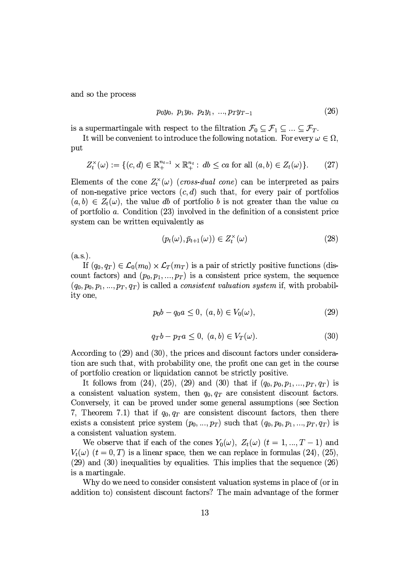and so the process

$$
p_0y_0, p_1y_0, p_2y_1, ..., p_Ty_{T-1}
$$
\n(26)

is a supermartingale with respect to the filtration  $\mathcal{F}_0 \subseteq \mathcal{F}_1 \subseteq ... \subseteq \mathcal{F}_T$ .

It will be convenient to introduce the following notation. For every  $\omega \in \Omega$ , put

$$
Z_t^{\times}(\omega) := \{ (c, d) \in \mathbb{R}_+^{n_{t-1}} \times \mathbb{R}_+^{n_t} : db \le ca \text{ for all } (a, b) \in Z_t(\omega) \}. \tag{27}
$$

Elements of the cone  $Z_t^{\times}(\omega)$  (cross-dual cone) can be interpreted as pairs of non-negative price vectors  $(c, d)$  such that, for every pair of portfolios  $(a, b) \in Z_t(\omega)$ , the value db of portfolio b is not greater than the value ca of portfolio  $a$ . Condition  $(23)$  involved in the definition of a consistent price system can be written equivalently as

$$
(p_t(\omega), \bar{p}_{t+1}(\omega)) \in Z_t^{\times}(\omega) \tag{28}
$$

 $(a.s.).$ 

If  $(q_0, q_T) \in \mathcal{L}_0(m_0) \times \mathcal{L}_T(m_T)$  is a pair of strictly positive functions (discount factors) and  $(p_0, p_1, ..., p_T)$  is a consistent price system, the sequence  $(q_0, p_0, p_1, ..., p_T, q_T)$  is called a *consistent valuation system* if, with probability one,

$$
p_0 b - q_0 a \le 0, \ (a, b) \in V_0(\omega), \tag{29}
$$

$$
q_T b - p_T a \le 0, \ (a, b) \in V_T(\omega). \tag{30}
$$

According to (29) and (30), the prices and discount factors under consideration are such that, with probability one, the profit one can get in the course of portfolio creation or liquidation cannot be strictly positive.

It follows from (24), (25), (29) and (30) that if  $(q_0, p_0, p_1, ..., p_T, q_T)$  is a consistent valuation system, then  $q_0, q_T$  are consistent discount factors. Conversely, it can be proved under some general assumptions (see Section 7, Theorem 7.1) that if  $q_0, q_T$  are consistent discount factors, then there exists a consistent price system  $(p_0, ..., p_T)$  such that  $(q_0, p_0, p_1, ..., p_T, q_T)$  is a consistent valuation system.

We observe that if each of the cones  $Y_0(\omega)$ ,  $Z_t(\omega)$   $(t = 1, ..., T - 1)$  and  $V_t(\omega)$   $(t = 0, T)$  is a linear space, then we can replace in formulas (24), (25),  $(29)$  and  $(30)$  inequalities by equalities. This implies that the sequence  $(26)$ is a martingale.

Why do we need to consider consistent valuation systems in place of (or in addition to) consistent discount factors? The main advantage of the former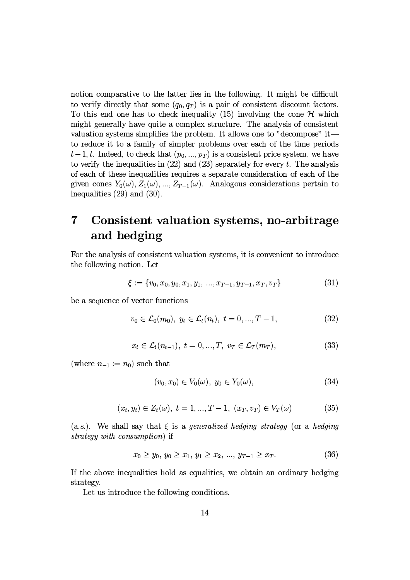notion comparative to the latter lies in the following. It might be difficult to verify directly that some  $(q_0, q_T)$  is a pair of consistent discount factors. To this end one has to check inequality (15) involving the cone  $\mathcal H$  which might generally have quite a complex structure. The analysis of consistent valuation systems simplifies the problem. It allows one to "decompose" it to reduce it to a family of simpler problems over each of the time periods  $t-1, t$ . Indeed, to check that  $(p_0, ..., p_T)$  is a consistent price system, we have to verify the inequalities in  $(22)$  and  $(23)$  separately for every t. The analysis of each of these inequalities requires a separate consideration of each of the given cones  $Y_0(\omega), Z_1(\omega), ..., Z_{T-1}(\omega)$ . Analogous considerations pertain to inequalities  $(29)$  and  $(30)$ .

## $\overline{7}$ Consistent valuation systems, no-arbitrage and hedging

For the analysis of consistent valuation systems, it is convenient to introduce the following notion. Let

$$
\xi := \{v_0, x_0, y_0, x_1, y_1, ..., x_{T-1}, y_{T-1}, x_T, v_T\}
$$
\n(31)

be a sequence of vector functions

$$
v_0 \in \mathcal{L}_0(m_0), \ y_t \in \mathcal{L}_t(n_t), \ t = 0, ..., T - 1,
$$
\n(32)

$$
x_t \in \mathcal{L}_t(n_{t-1}), \ t = 0, ..., T, \ v_T \in \mathcal{L}_T(m_T), \tag{33}
$$

(where  $n_{-1} := n_0$ ) such that

$$
(v_0, x_0) \in V_0(\omega), \ y_0 \in Y_0(\omega), \tag{34}
$$

$$
(x_t, y_t) \in Z_t(\omega), \ t = 1, ..., T - 1, \ (x_T, v_T) \in V_T(\omega) \tag{35}
$$

(a.s.). We shall say that  $\xi$  is a *generalized hedging strategy* (or a *hedging strategy with consumption*) if

$$
x_0 \ge y_0, \ y_0 \ge x_1, \ y_1 \ge x_2, \ \dots, \ y_{T-1} \ge x_T. \tag{36}
$$

If the above inequalities hold as equalities, we obtain an ordinary hedging strategy.

Let us introduce the following conditions.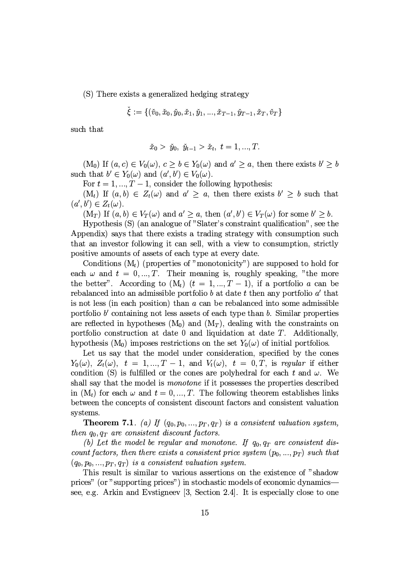(S) There exists a generalized hedging strategy

$$
\xi:=\{(\check{v}_0,\check{x}_0,\check{y}_0,\check{x}_1,\check{y}_1,...,\check{x}_{T-1},\check{y}_{T-1},\check{x}_T,\check{v}_T\}
$$

such that

$$
\check{x}_0 > \check{y}_0, \; \check{y}_{t-1} > \check{x}_t, \; t = 1, ..., T.
$$

 $(M_0)$  If  $(a, c) \in V_0(\omega)$ ,  $c \ge b \in Y_0(\omega)$  and  $a' \ge a$ , then there exists  $b' \ge b$ such that  $b' \in Y_0(\omega)$  and  $(a', b') \in V_0(\omega)$ .

For  $t = 1, ..., T - 1$ , consider the following hypothesis:

 $(M_t)$  If  $(a, b) \in Z_t(\omega)$  and  $a' \ge a$ , then there exists  $b' \ge b$  such that  $(a',b')\in Z_t(\omega).$ 

 $(M_T)$  If  $(a, b) \in V_T(\omega)$  and  $a' \ge a$ , then  $(a', b') \in V_T(\omega)$  for some  $b' \ge b$ .

Hypothesis (S) (an analogue of "Slater's constraint qualification", see the Appendix) says that there exists a trading strategy with consumption such that an investor following it can sell, with a view to consumption, strictly positive amounts of assets of each type at every date.

Conditions  $(M_t)$  (properties of "monotonicity") are supposed to hold for each  $\omega$  and  $t = 0, ..., T$ . Their meaning is, roughly speaking, "the more the better". According to  $(M_t)$   $(t = 1, ..., T - 1)$ , if a portfolio a can be rebalanced into an admissible portfolio b at date t then any portfolio  $a'$  that is not less (in each position) than  $a$  can be rebalanced into some admissible portfolio  $b'$  containing not less assets of each type than  $b$ . Similar properties are reflected in hypotheses  $(M_0)$  and  $(M_T)$ , dealing with the constraints on portfolio construction at date  $0$  and liquidation at date  $T$ . Additionally, hypothesis (M<sub>0</sub>) imposes restrictions on the set  $Y_0(\omega)$  of initial portfolios.

Let us say that the model under consideration, specified by the cones  $Y_0(\omega)$ ,  $Z_t(\omega)$ ,  $t = 1, ..., T-1$ , and  $V_t(\omega)$ ,  $t = 0, T$ , is regular if either condition (S) is fulfilled or the cones are polyhedral for each t and  $\omega$ . We shall say that the model is *monotone* if it possesses the properties described in  $(M_t)$  for each  $\omega$  and  $t = 0, ..., T$ . The following theorem establishes links between the concepts of consistent discount factors and consistent valuation systems.

**Theorem 7.1**. (a) If  $(q_0, p_0, ..., p_T, q_T)$  is a consistent valuation system, then  $q_0, q_T$  are consistent discount factors.

(b) Let the model be regular and monotone. If  $q_0, q_T$  are consistent discount factors, then there exists a consistent price system  $(p_0, ..., p_T)$  such that  $(q_0, p_0, ..., p_T, q_T)$  is a consistent valuation system.

This result is similar to various assertions on the existence of "shadow prices" (or "supporting prices") in stochastic models of economic dynamicssee, e.g. Arkin and Evstigneev [3, Section 2.4]. It is especially close to one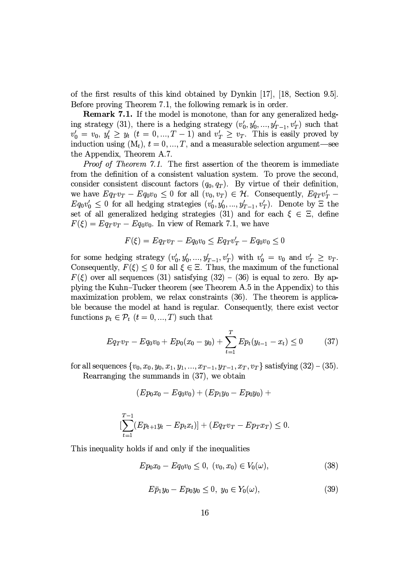of the first results of this kind obtained by Dynkin  $[17]$ ,  $[18$ , Section 9.5. Before proving Theorem 7.1, the following remark is in order.

Remark 7.1. If the model is monotone, than for any generalized hedging strategy (31), there is a hedging strategy  $(v'_0, y'_0, ..., y'_{T-1}, v'_T)$  such that  $v'_0 = v_0, y'_t \ge y_t$   $(t = 0, ..., T - 1)$  and  $v'_T \ge v_T$ . This is easily proved by induction using  $(M_t)$ ,  $t = 0, ..., T$ , and a measurable selection argument—see the Appendix, Theorem A.7.

*Proof of Theorem 7.1.* The first assertion of the theorem is immediate from the definition of a consistent valuation system. To prove the second, consider consistent discount factors  $(q_0, q_T)$ . By virtue of their definition, we have  $Eq_Tv_T - Eq_0v_0 \leq 0$  for all  $(v_0, v_T) \in \mathcal{H}$ . Consequently,  $Eq_Tv'_T$  $Eq_0v'_0 \leq 0$  for all hedging strategies  $(v'_0, y'_0, ..., y'_{T-1}, v'_T)$ . Denote by  $\Xi$  the set of all generalized hedging strategies (31) and for each  $\xi \in \Xi$ , define  $F(\xi) = Eq_T v_T - Eq_0 v_0$ . In view of Remark 7.1, we have

$$
F(\xi) = Eq_T v_T - Eq_0 v_0 \leq Eq_T v'_T - Eq_0 v_0 \leq 0
$$

for some hedging strategy  $(v'_0, y'_0, ..., y'_{T-1}, v'_T)$  with  $v'_0 = v_0$  and  $v'_T \ge v_T$ . Consequently,  $F(\xi) < 0$  for all  $\xi \in \Xi$ . Thus, the maximum of the functional  $F(\xi)$  over all sequences (31) satisfying (32) – (36) is equal to zero. By applying the Kuhn–Tucker theorem (see Theorem A.5 in the Appendix) to this maximization problem, we relax constraints (36). The theorem is applicable because the model at hand is regular. Consequently, there exist vector functions  $p_t \in \mathcal{P}_t$   $(t = 0, ..., T)$  such that

$$
Eq_T v_T - Eq_0 v_0 + Ep_0(x_0 - y_0) + \sum_{t=1}^T Ep_t(y_{t-1} - x_t) \le 0 \tag{37}
$$

for all sequences  $\{v_0, x_0, y_0, x_1, y_1, ..., x_{T-1}, y_{T-1}, x_T, v_T\}$  satisfying  $(32) - (35)$ .

Rearranging the summands in (37), we obtain

$$
(Ep_0x_0-Eq_0v_0)+(Ep_1y_0-Ep_0y_0)+\\
$$

$$
[\sum_{t=1}^{T-1} (Ep_{t+1}y_t - Ep_t x_t)] + (Eq_T v_T - Ep_T x_T) \leq 0.
$$

This inequality holds if and only if the inequalities

$$
Ep_0x_0 - Eq_0v_0 \le 0, \ (v_0, x_0) \in V_0(\omega), \tag{38}
$$

$$
E\bar{p}_1y_0 - Ep_0y_0 \le 0, \ y_0 \in Y_0(\omega), \tag{39}
$$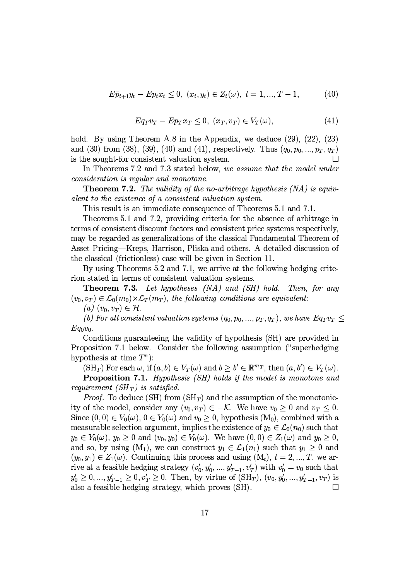$$
E\bar{p}_{t+1}y_t - Ep_t x_t \le 0, \ (x_t, y_t) \in Z_t(\omega), \ t = 1, ..., T - 1,
$$
 (40)

$$
Eq_T v_T - Ep_T x_T \le 0, \ (x_T, v_T) \in V_T(\omega), \tag{41}
$$

8-1)HK q:M:M:M:M:M:Mission.History.History.History.History.History.History.History.History.History.History.History.H  $Z$  , and a isometric distribution of the intervals of the intervals of the intervals of the intervals of the intervals of the intervals of the intervals of the intervals of the intervals of the intervals of the intervals is the sought-for consistent valuation system.

 $\bullet$  and the state of the state of the state of the state of the state of the state of the state of the state of the state of the state of the state of the state of the state of the state of the state of the state of the  $\blacksquare$  and a maximum control  $\blacksquare$ 

. The MPR N AND AND A RESERVE SERVER AND A RESERVE STATE OF THE SERVER AND A RESERVE A PROPERTY AND A RESERVE A alent to the existence of a consistent valuation system.

This result is an immediate consequence of Theorems 5.1 and 7.1.

Theorems 5.1 and 7.2, providing criteria for the absence of arbitrage in terms of consistent discount factors and consistent price systems respectively, 5;(:.45+2.45)+)M!32-+4\*%01kD750%!C,758#/\*@!5!0%/D\* W-)(+7\*.I38+-45+ , ~!5!7t450%/+0%A2-mVsC45J!-9a#454501!5-9t\*%01!5Y()75845!-H <sup>~</sup> )+701\*%+))01!5/+!5!501-, the classical (frictionless) case will be given in Section 11.

By using Theorems 5.2 and 7.1, we arrive at the following hedging criterion stated in terms of consistent valuation systems.

 TN \$`VWKMN%\$MT\`TU\ "#k^ML- \$# \$KM["-Then, for any  $\left( \begin{array}{c} \lambda \in \mathcal{P} \end{array} \right)$  ,  $\left( \begin{array}{c} \lambda \in \mathcal{P} \end{array} \right)$  ,  $\left( \begin{array}{c} \lambda \in \mathcal{P} \end{array} \right)$  ,  $\left( \begin{array}{c} \lambda \in \mathcal{P} \end{array} \right)$  ,  $\left( \begin{array}{c} \lambda \in \mathcal{P} \end{array} \right)$  ,  $\left( \begin{array}{c} \lambda \in \mathcal{P} \end{array} \right)$  ,  $\left( \begin{array}{c} \lambda \in \mathcal{P} \end$ 

(a)  $(v_0, v_T) \in \mathcal{H}$ .

(b) For all consistent valuation systems  $(q_0, p_0, ..., p_T, q_T)$ , we have  $Eq_Tv_T \leq$  $Eq_0v_0$ .

Conditions guaranteeing the validity of hypothesis (SH) are provided in Proposition 7.1 below. Consider the following assumption ("superhedging hypothesis at time  $T$ "):

 $(\text{SH}_T)$  For each  $\omega$ , if  $(a, b) \in V_T(\omega)$  and  $b \geq b' \in \mathbb{R}^{m_T}$ , then  $(a, b') \in V_T(\omega)$ .

--!- ! `VWKMN%\$MTU\PR\ \$#\$MKM["-\PYDN%\$MT K-MT[PR\ KML,KMNQKMLOT^ML- $\mathcal{M}$  . The property of  $\mathcal{M}$  and  $\mathcal{M}$  -  $\mathcal{M}$  . The property of  $\mathcal{M}$ 

*Proof.* To deduce (SH) from  $(SH<sub>T</sub>)$  and the assumption of the monotonicity of the model, consider any  $(v_0, v_T) \in -\mathcal{K}$ . We have  $v_0 \geq 0$  and  $v_T \leq 0$ . Since  $(0, 0) \in V_0(\omega)$ ,  $0 \in Y_0(\omega)$  and  $v_0 \ge 0$ , hypothesis  $(M_0)$ , combined with a D!4:\*1 !5+\*1/+7501-G452+D79+0%(J\*10%+!758 +wD0%!75/+C-, FU\$ @\$ dA7\$ i!5/8>7587  $y_0 \in Y_0(\omega)$   $y_0 > 0$  and  $(y_0, y_0) \in V_0(\omega)$ . We have  $(0, 0) \in Z_1(\omega)$  and  $y_0 > 0$ . and so by using  $(M_1)$  we can construct  $y_1 \in \mathcal{L}_1(n_1)$  such that  $y_1 > 0$  and  $(u_0, u_1) \in Z_1(\omega)$ . Continuing this process and using  $(M_1, t = 2, ..., T)$ , we arrive at a feasible hedging strategy  $(v_0', v_0', ..., v_{T-1}', v_T')$  with  $v_0' = v_0$  such that  $y_0' \geq 0, ..., y_{T-1}' > 0, y_T' \geq 0$ . Then, by virtue of  $(SH_T)$ ,  $(v_0, y_0', ..., y_{T-1}', v_T)$  is also a feasible hedging strategy, which proves  $(SH)$ .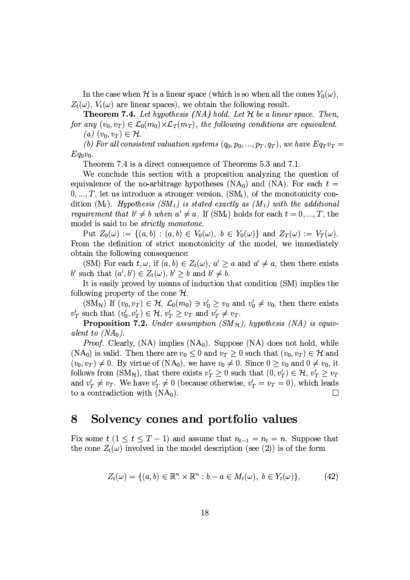In the case when H is a linear space (which is so when all the cones  $Y_0(\omega)$ ,  $Z_t(\omega)$ ,  $V_t(\omega)$  are linear spaces), we obtain the following result.

**Theorem 7.4.** Let hypothesis (NA) hold. Let  $H$  be a linear space. Then, for any  $(v_0, v_T) \in \mathcal{L}_0(m_0) \times \mathcal{L}_T(m_T)$ , the following conditions are equivalent.

(a)  $(v_0, v_T) \in \mathcal{H}$ .

(b) For all consistent valuation systems  $(q_0, p_0, ..., p_T, q_T)$ , we have  $Eq_Tv_T =$  $Eq_0v_0$ .

Theorem 7.4 is a direct consequence of Theorems 5.3 and 7.1.

We conclude this section with a proposition analyzing the question of equivalence of the no-arbitrage hypotheses (NA<sub>0</sub>) and (NA). For each  $t =$  $0, ..., T$ , let us introduce a stronger version,  $(SM_t)$ , of the monotonicity condition  $(M_t)$ . Hypothesis  $(SM_t)$  is stated exactly as  $(M_t)$  with the additional requirement that  $b' \neq b$  when  $a' \neq a$ . If  $(SM_t)$  holds for each  $t = 0, ..., T$ , the model is said to be *strictly monotone*.

Put  $Z_0(\omega) := \{(a, b) : (a, b) \in V_0(\omega), b \in Y_0(\omega)\}\$ and  $Z_T(\omega) := V_T(\omega)$ . From the definition of strict monotonicity of the model, we immediately obtain the following consequence:

(SM) For each  $t, \omega$ , if  $(a, b) \in Z_t(\omega)$ ,  $a' \ge a$  and  $a' \ne a$ , then there exists b' such that  $(a', b') \in Z_t(\omega)$ ,  $b' \geq b$  and  $b' \neq b$ .

It is easily proved by means of induction that condition (SM) implies the following property of the cone  $\mathcal{H}$ .

 $(\text{SM}_{\mathcal{H}})$  If  $(v_0, v_T) \in \mathcal{H}$ ,  $\mathcal{L}_0(m_0) \ni v'_0 \geq v_0$  and  $v'_0 \neq v_0$ , then there exists  $v'_T$  such that  $(v'_0, v'_T) \in \mathcal{H}$ ,  $v'_T \ge v_T$  and  $v'_T \ne v_T$ .

**Proposition 7.2.** Under assumption  $(SM_{\mathcal{H}})$ , hypothesis  $(NA)$  is equivalent to  $(NA_0)$ .

*Proof.* Clearly, (NA) implies (NA<sub>0</sub>). Suppose (NA) does not hold, while (NA<sub>0</sub>) is valid. Then there are  $v_0 \leq 0$  and  $v_T \geq 0$  such that  $(v_0, v_T) \in \mathcal{H}$  and  $(v_0, v_T) \neq 0$ . By virtue of (NA<sub>0</sub>), we have  $v_0 \neq 0$ . Since  $0 \geq v_0$  and  $0 \neq v_0$ , it follows from (SM<sub>H</sub>), that there exists  $v'_T \geq 0$  such that  $(0, v'_T) \in \mathcal{H}$ ,  $v'_T \geq v_T$ and  $v'_T \neq v_T$ . We have  $v'_T \neq 0$  (because otherwise,  $v'_T = v_T = 0$ ), which leads to a contradiction with  $(NA_0)$ .  $\Box$ 

#### 8 Solvency cones and portfolio values

Fix some  $t$   $(1 \le t \le T - 1)$  and assume that  $n_{t-1} = n_t = n$ . Suppose that the cone  $Z_t(\omega)$  involved in the model description (see (2)) is of the form

$$
Z_t(\omega) = \{(a, b) \in \mathbb{R}^n \times \mathbb{R}^n : b - a \in M_t(\omega), b \in Y_t(\omega)\},\tag{42}
$$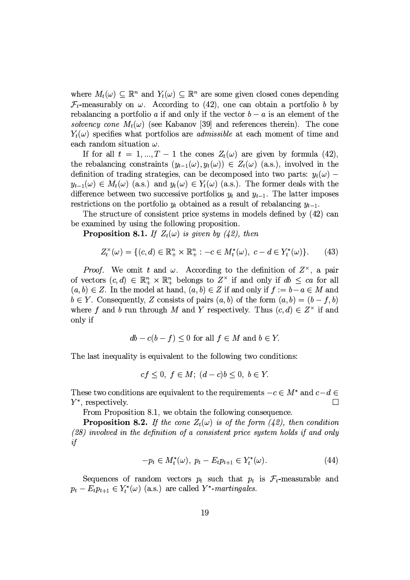$\mathbf{S} = \mathbf{S} = \mathbf{S} = \mathbf{S} = \mathbf{S} = \mathbf{S} = \mathbf{S} = \mathbf{S} = \mathbf{S} = \mathbf{S} = \mathbf{S} = \mathbf{S} = \mathbf{S} = \mathbf{S} = \mathbf{S} = \mathbf{S} = \mathbf{S} = \mathbf{S} = \mathbf{S} = \mathbf{S} = \mathbf{S} = \mathbf{S} = \mathbf{S} = \mathbf{S} = \mathbf{S} = \mathbf{S} = \mathbf{S} = \mathbf{S} = \mathbf{S} = \mathbf{S} = \mathbf{S} = \mathbf$  $\mathcal{F}_t$ -measurably on  $\omega$ . According to (42), one can obtain a portfolio b by  $\begin{array}{ccc} \texttt{1} & \texttt{2} & \texttt{3} & \texttt{4} & \texttt{5} & \texttt{6} & \texttt{7} & \texttt{8} & \texttt{8} & \texttt{7} & \texttt{7} & \texttt{8} & \texttt{7} & \texttt{7} & \texttt{7} & \texttt{7} & \texttt{8} & \texttt{8} & \texttt{8} & \texttt{9} & \texttt{1} & \texttt{1} & \texttt{1} & \texttt{1} & \texttt{1} & \texttt{1} & \texttt{1} & \texttt{1} & \texttt{1} & \texttt{1} & \texttt$ solvency cone  $M_t(\omega)$  (see Kabanov [39] and references therein). The cone ]5@dAGi3!5J./+0%BA!>687>J.-4575,F-\*10%!G45 ^-PR\`\`PU[ZTM7>/8K(-(D7>-,37501MA) each random situation  $\omega$ .

If for all  $t = 1, ..., T - 1$  the cones  $Z_t(\omega)$  are given by formula (42), the rebalancing constraints  $(u_{t-1}(\omega), u_t(\omega)) \in Z_t(\omega)$  (a.s.) involved in the definition of trading strategies, can be decomposed into two parts:  $y_t(\omega)$  –  $u_{t-1}(\omega) \in M_{t}(\omega)$  (a.s.) and  $u_{t}(\omega) \in Y_{t}(\omega)$  (a.s.) The former deals with the difference between two successive portfolios  $u_{\rm s}$  and  $u_{\rm s}$ , The latter impose restrictions on the portfolio  $u_2$  obtained as a result of rebalancing  $u_{k-1}$ 

The structure of consistent price systems in models defined by  $(42)$  can be examined by using the following proposition.

--!- RY =5@dAGi PR\DSPUTL -#
N\$TUL

$$
Z_t^{\times}(\omega) = \{ (c, d) \in \mathbb{R}_+^n \times \mathbb{R}_+^n : -c \in M_t^*(\omega), \ c - d \in Y_t^*(\omega) \}. \tag{43}
$$

*Proof.* We omit t and  $\omega$ . According to the definition of  $Z^{\times}$ , a pair of vectors  $(c, d) \in \mathbb{R}^n \times \mathbb{R}^n$  belongs to  $Z^{\times}$  if and only if  $db \leq ca$  for all diHR@758D)+\*7 8)9dli 0%, )(-\*1;>01, T\*/ lj A)  $b \in Y$ . Consequently, Z consists of pairs  $(a, b)$  of the form  $(a, b) = (b - f, b)$  $\alpha$  and  $\alpha$  is a set of the set of the set of the set of the set of the set of the set of the set of the set of the set of the set of the set of the set of the set of the set of the set of the set of the set of the set only if

$$
db - c(b - f) \leq 0
$$
 for all  $f \in M$  and  $b \in Y$ .

The last inequality is equivalent to the following two conditions:

$$
cf \leq 0, f \in M; (d-c)b \leq 0, b \in Y.
$$

 $T31$  ,  $T11$  ,  $T11$  ,  $T11$  ,  $T11$  ,  $T11$  ,  $T11$  ,  $T11$  ,  $T11$  ,  $T11$  ,  $T11$  ,  $T11$  ,  $T11$  ,  $T11$  ,  $T11$  ,  $T11$  ,  $T11$  ,  $T11$  ,  $T11$  ,  $T11$  ,  $T11$  ,  $T11$  ,  $T11$  ,  $T11$  ,  $T11$  ,  $T11$  ,  $T11$  ,  $T11$  $Y^*$ , respectively.

W-45- t.45-J.-!5017501-K^H%L96C=:701G758=,F-\*1\*%60%2(/+-!5c+/DH

and the second terms of the second terms of the second terms of the second terms of the second terms of the second terms of the second terms of the second terms of the second terms of the second terms of the second terms o # PRLKM[UT- PRL N%\$MT -MT!L,PRNQPRKMLK>Y
^ J`KML,\`PR\`NQTUL,NlVX`PRJ`T\ \`NQT \$MKM["-M\
PY
^ML- KML,["  $if$ 

$$
-p_t \in M_t^*(\omega), \ p_t - E_t p_{t+1} \in Y_t^*(\omega). \tag{44}
$$

Sequences of random vectors  $p_t$  such that  $p_t$  is  $\mathcal{F}_t$ -measurable and  $n_r = E, n_{r+1} \in Y^*(q)$  (as) are called  $Y^*$ -martingales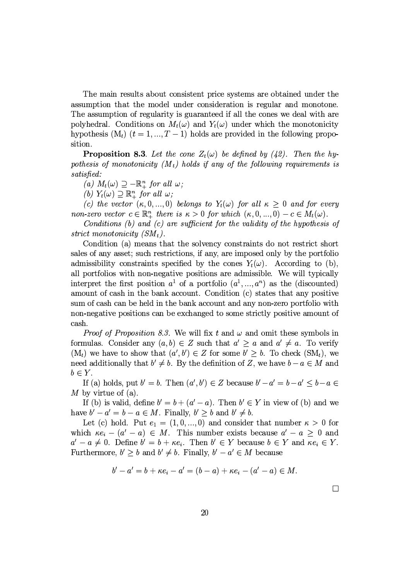The main results about consistent price systems are obtained under the assumption that the model under consideration is regular and monotone. The assumption of regularity is guaranteed if all the cones we deal with are polyhedral. Conditions on  $M_t(\omega)$  and  $Y_t(\omega)$  under which the monotonicity hypothesis  $(M_t)$   $(t = 1, ..., T-1)$  holds are provided in the following proposition.

--!- <sup>H</sup> TN%N\$T J`KML,T <sup>5</sup> dAGi `T -MT !LOT - -#&% \$TUL:N%\$MT\$  $N$  is a sympath of  $\mathbb{R}^n$  and  $\mathbb{R}^n$  and  $\mathbb{R}^n$  and  $\mathbb{R}^n$  and  $\mathbb{R}^n$  and  $\mathbb{R}^n$  and  $\mathbb{R}^n$  and  $\mathbb{R}^n$  and  $\mathbb{R}^n$  and  $\mathbb{R}^n$  and  $\mathbb{R}^n$  and  $\mathbb{R}^n$  and  $\mathbb{R}^n$  and  $\mathbb{R$ \`^MNQPR\%!T-

(a)  $M_{\alpha}(\omega) \supset \mathbb{R}^n$  for all  $\omega$ .

(b)  $Y_{\cdot}(\omega) \supset \mathbb{R}^n$  for all  $\omega$ 

 $\mathcal{S}$  is a set of the set of the contract of the pair  $\mathcal{S}$  and  $\mathcal{S}$  are the contract of the contract of the contract of the contract of the contract of the contract of the contract of the contract of the contra non-zero vector  $c \in \mathbb{R}^n$  there is  $\kappa > 0$  for which  $(\kappa, 0, \ldots, 0) = c \in M_{\kappa}(\omega)$ 

 $\mathbb{R}^n$  . And  $\mathbb{R}^n$  is a straight the straight of  $\mathbb{R}^n$  $\sim$  km  $\sim$  km  $\sim$  km  $\sim$  km  $\sim$  km  $\sim$  km  $\sim$  km  $\sim$  km  $\sim$  km  $\sim$  km  $\sim$  km  $\sim$  km  $\sim$  km  $\sim$  km  $\sim$  km  $\sim$  km  $\sim$  km  $\sim$  km  $\sim$  km  $\sim$  km  $\sim$  km  $\sim$  km  $\sim$  km  $\sim$  km  $\sim$  km  $\sim$  km  $\sim$  km  $\sim$ 

Condition (a) means that the solvency constraints do not restrict short sales of any asset; such restrictions, if any, are imposed only by the portfolio )(0%!!50%:01\*10%7@;Q/!575401D75!G!JA+/01B+)p:D;Q758M/+-+! <sup>5</sup> dAGi5H ~/+/+-45)012Z75VdF:i59 all portfolios with non-negative positions are admissible. We will typically 0%D75+45J457758GB45!57JA-!0%7501- - ,>(J.-4575,F-\*101jd- (\*(+(+ CDi!758MdF)01!5/+-D75+)i amount of cash in the bank account. Condition  $(c)$  states that any positive . A set of the state  $\Lambda$  th and the state  $\Lambda$  th and the state  $\Lambda$ non-negative positions can be exchanged to some strictly positive amount of cash.

*Proof of Proposition 8.3.* We will fix t and  $\omega$  and omit these symbols in ,F-45>\*@!-H\_!501)4GD;jdi  !5/8K7587 <9 ) / HIGE4501,F;  $(M_t)$  we have to show that  $(a',b') \in Z$  for some  $b' \geq b$ . To check  $(SM_t)$ , we +)M))A0%7501-\*1\*1;7587 / H3q;(758)+B01750%(,96C85E j A)  $b \in Y$ .

walista si samu lish maso si isa isa M by virtue of  $(a)$ .

RS,3dF:i0%!3E\*10%)9D)+B O/ Zdhj i5HI38+ 01GE01+6Q,CdF:i3)G6C a dia 13.000 mponing 20.000 mponing 20.000 mponing 20.000 mponing 20.000 mponing 20.000 mponing 20.000 mponing

Let (c) hold Put  $e_1 = (1 \ 0 \ 0)$  and consider that number  $\kappa > 0$  for which  $se_i = (a' - a) \in M$  This number exists because  $a' = a > 0$  and  $g' = g \neq 0$  Define  $h' = h + \kappa e$ . Then  $h' \in V$  because  $h \in V$  and  $\kappa e \in V$ Furthermore,  $b' \geq b$  and  $b' \neq b$ . Finally,  $b' - a' \in M$  because

$$
b' - a' = b + \kappa e_i - a' = (b - a) + \kappa e_i - (a' - a) \in M.
$$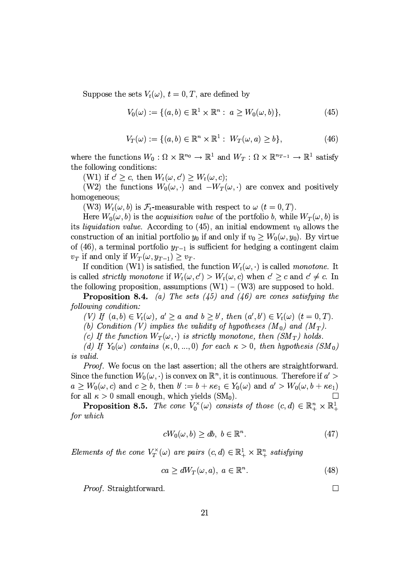Suppose the sets  $V_t(\omega)$ ,  $t = 0, T$ , are defined by

$$
V_0(\omega) := \{ (a, b) \in \mathbb{R}^1 \times \mathbb{R}^n : a \ge W_0(\omega, b) \},\tag{45}
$$

$$
V_T(\omega) := \{ (a, b) \in \mathbb{R}^n \times \mathbb{R}^1 : W_T(\omega, a) \ge b \},
$$
 (46)

where the functions  $W_0$ :  $\Omega \times \mathbb{R}^{n_0} \to \mathbb{R}^1$  and  $W_T$ :  $\Omega \times \mathbb{R}^{n_{T-1}} \to \mathbb{R}^1$  satisfy the following conditions:

(W1) if  $c' \geq c$ , then  $W_t(\omega, c') \geq W_t(\omega, c)$ ;

(W2) the functions  $W_0(\omega, \cdot)$  and  $-W_T(\omega, \cdot)$  are convex and positively homogeneous;

(W3)  $W_t(\omega, b)$  is  $\mathcal{F}_t$ -measurable with respect to  $\omega$   $(t = 0, T)$ .

Here  $W_0(\omega, b)$  is the *acquisition value* of the portfolio b, while  $W_T(\omega, b)$  is its *liquidation value.* According to (45), an initial endowment  $v_0$  allows the construction of an initial portfolio  $y_0$  if and only if  $v_0 \geq W_0(\omega, y_0)$ . By virtue of (46), a terminal portfolio  $y_{T-1}$  is sufficient for hedging a contingent claim  $v_T$  if and only if  $W_T(\omega, y_{T-1}) \ge v_T$ .

If condition (W1) is satisfied, the function  $W_t(\omega, \cdot)$  is called *monotone*. It is called *strictly monotone* if  $W_t(\omega, c') > W_t(\omega, c)$  when  $c' \geq c$  and  $c' \neq c$ . In the following proposition, assumptions  $(W1) - (W3)$  are supposed to hold.

**Proposition 8.4.** (a) The sets (45) and (46) are cones satisfying the following condition:

(V) If  $(a,b) \in V_t(\omega)$ ,  $a' \ge a$  and  $b \ge b'$ , then  $(a',b') \in V_t(\omega)$   $(t = 0,T)$ .

(b) Condition (V) implies the validity of hypotheses  $(M_0)$  and  $(M_T)$ .

(c) If the function  $W_T(\omega, \cdot)$  is strictly monotone, then  $(SM_T)$  holds.

(d) If  $Y_0(\omega)$  contains  $(\kappa,0,...,0)$  for each  $\kappa > 0$ , then hypothesis  $(SM_0)$ is valid.

*Proof.* We focus on the last assertion; all the others are straightforward. Since the function  $W_0(\omega, \cdot)$  is convex on  $\mathbb{R}^n$ , it is continuous. Therefore if  $a' >$  $a \geq W_0(\omega, c)$  and  $c \geq b$ , then  $b' := b + \kappa e_1 \in Y_0(\omega)$  and  $a' > W_0(\omega, b + \kappa e_1)$ for all  $\kappa > 0$  small enough, which yields (SM<sub>0</sub>).

**Proposition 8.5.** The cone  $V_0^{\times}(\omega)$  consists of those  $(c, d) \in \mathbb{R}_+^n \times \mathbb{R}_+^1$ for which

$$
cW_0(\omega, b) \ge db, \ b \in \mathbb{R}^n. \tag{47}
$$

Elements of the cone  $V_T^{\times}(\omega)$  are pairs  $(c,d) \in \mathbb{R}_+^1 \times \mathbb{R}_+^n$  satisfying

$$
ca \ge dW_T(\omega, a), \ a \in \mathbb{R}^n. \tag{48}
$$

*Proof.* Straightforward.

 $\Box$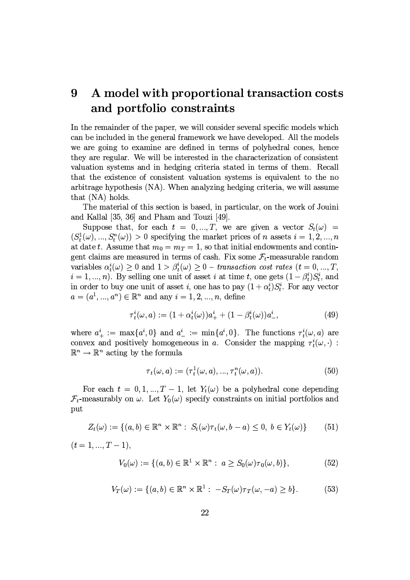### A model with proportional transaction costs 9 and portfolio constraints

In the remainder of the paper, we will consider several specific models which can be included in the general framework we have developed. All the models we are going to examine are defined in terms of polyhedral cones, hence they are regular. We will be interested in the characterization of consistent valuation systems and in hedging criteria stated in terms of them. Recall that the existence of consistent valuation systems is equivalent to the no arbitrage hypothesis (NA). When analyzing hedging criteria, we will assume that (NA) holds.

The material of this section is based, in particular, on the work of Jouini and Kallal [35, 36] and Pham and Touzi [49].

Suppose that, for each  $t = 0, ..., T$ , we are given a vector  $S_t(\omega)$  =  $(S_t^1(\omega),...,S_t^n(\omega))>0$  specifying the market prices of *n* assets  $i=1,2,...,n$ at date t. Assume that  $m_0 = m_T = 1$ , so that initial endowments and contingent claims are measured in terms of cash. Fix some  $\mathcal{F}_t$ -measurable random variables  $\alpha_t^i(\omega) \geq 0$  and  $1 > \beta_t^i(\omega) \geq 0$  – transaction cost rates  $(t = 0, ..., T,$  $i=1,...,n$ ). By selling one unit of asset i at time t, one gets  $(1-\beta_i^i)S_t^i$ , and in order to buy one unit of asset *i*, one has to pay  $(1 + \alpha_t^i) S_t^i$ . For any vector  $a = (a^1, ..., a^n) \in \mathbb{R}^n$  and any  $i = 1, 2, ..., n$ , define

$$
\tau_t^i(\omega, a) := (1 + \alpha_t^i(\omega))a_+^i + (1 - \beta_t^i(\omega))a_-^i,
$$
\n(49)

where  $a^i_+ := \max\{a^i, 0\}$  and  $a^i_- := \min\{a^i, 0\}$ . The functions  $\tau^i_t(\omega, a)$  are convex and positively homogeneous in a. Consider the mapping  $\tau_t^i(\omega, \cdot)$ :  $\mathbb{R}^n \to \mathbb{R}^n$  acting by the formula

$$
\tau_t(\omega, a) := (\tau_t^1(\omega, a), \dots, \tau_t^n(\omega, a)). \tag{50}
$$

For each  $t = 0, 1, ..., T - 1$ , let  $Y_t(\omega)$  be a polyhedral cone depending  $\mathcal{F}_t$ -measurably on  $\omega$ . Let  $Y_0(\omega)$  specify constraints on initial portfolios and put

$$
Z_t(\omega) := \{(a, b) \in \mathbb{R}^n \times \mathbb{R}^n : S_t(\omega)\tau_t(\omega, b - a) \le 0, b \in Y_t(\omega)\}
$$
(51)

$$
(t=1,\ldots,T-1),
$$

$$
V_0(\omega) := \{ (a, b) \in \mathbb{R}^1 \times \mathbb{R}^n : a \ge S_0(\omega) \tau_0(\omega, b) \},
$$
\n
$$
(52)
$$

$$
V_T(\omega) := \{ (a, b) \in \mathbb{R}^n \times \mathbb{R}^1 : -S_T(\omega) \tau_T(\omega, -a) \ge b \}. \tag{53}
$$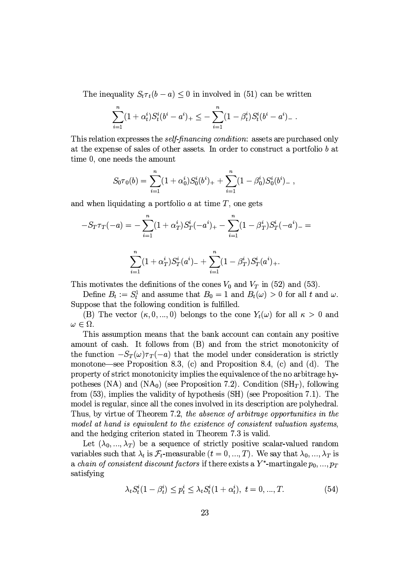The inequality  $S_t \tau_t(b-a) \leq 0$  in involved in (51) can be written

$$
\sum_{i=1}^n (1+\alpha_t^i) S_t^i (b^i - a^i)_+ \leq - \sum_{i=1}^n (1-\beta_t^i) S_t^i (b^i - a^i)_-\ .
$$

This relation expresses the *self-financing condition*: assets are purchased only at the expense of sales of other assets. In order to construct a portfolio  $b$  at time 0, one needs the amount

$$
S_0 \tau_0(b) = \sum_{i=1}^n (1 + \alpha_0^i) S_0^i(b^i)_+ + \sum_{i=1}^n (1 - \beta_0^i) S_0^i(b^i)_-,
$$

and when liquidating a portfolio  $a$  at time  $T$ , one gets

$$
-S_T \tau_T(-a) = -\sum_{i=1}^n (1 + \alpha_T^i) S_T^i(-a^i)_{+} - \sum_{i=1}^n (1 - \beta_T^i) S_T^i(-a^i)_{-} =
$$

$$
\sum_{i=1}^n (1 + \alpha_T^i) S_T^i(a^i)_{-} + \sum_{i=1}^n (1 - \beta_T^i) S_T^i(a^i)_{+}.
$$

This motivates the definitions of the cones  $V_0$  and  $V_T$  in (52) and (53).

Define  $B_t := S_t^1$  and assume that  $B_0 = 1$  and  $B_t(\omega) > 0$  for all t and  $\omega$ . Suppose that the following condition is fulfilled.

(B) The vector  $(\kappa, 0, ..., 0)$  belongs to the cone  $Y_t(\omega)$  for all  $\kappa > 0$  and  $\omega \in \Omega$ .

This assumption means that the bank account can contain any positive amount of cash. It follows from (B) and from the strict monotonicity of the function  $-S_T(\omega)\tau_T(-a)$  that the model under consideration is strictly monotone—see Proposition 8.3, (c) and Proposition 8.4, (c) and (d). The property of strict monotonicity implies the equivalence of the no arbitrage hypotheses (NA) and (NA<sub>0</sub>) (see Proposition 7.2). Condition (SH<sub>T</sub>), following from (53), implies the validity of hypothesis (SH) (see Proposition 7.1). The model is regular, since all the cones involved in its description are polyhedral. Thus, by virtue of Theorem 7.2, the absence of arbitrage opportunities in the model at hand is equivalent to the existence of consistent valuation systems, and the hedging criterion stated in Theorem 7.3 is valid.

Let  $(\lambda_0, ..., \lambda_T)$  be a sequence of strictly positive scalar-valued random variables such that  $\lambda_t$  is  $\mathcal{F}_t$ -measurable  $(t = 0, ..., T)$ . We say that  $\lambda_0, ..., \lambda_T$  is a chain of consistent discount factors if there exists a  $Y^*$ -martingale  $p_0, ..., p_T$ satisfying

$$
\lambda_t S_t^i (1 - \beta_t^i) \le p_t^i \le \lambda_t S_t^i (1 + \alpha_t^i), \ t = 0, ..., T. \tag{54}
$$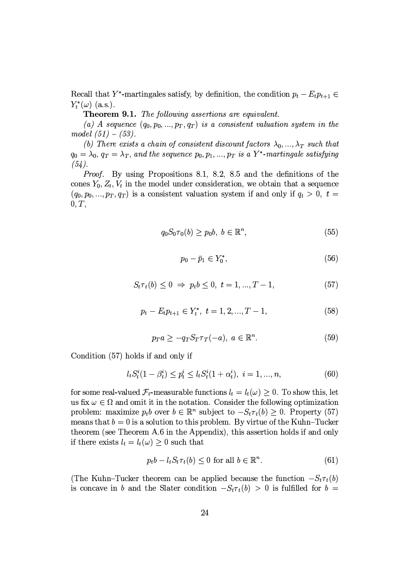Recall that  $Y^*$ -martingales satisfy by definition the condition  $n_t - E_t n_{t+1} \in$  $Y_t^*(\omega)$  (a.s.).

**Theorem 9.1.** The following assertions are equivalent.

(a) A sequence  $(q_0, p_0, ..., p_T, q_T)$  is a consistent valuation system in the man and the second contract of the second contract of the second contract of the second contract of the second of the second contract of the second contract of the second contract of the second contract of the second contr

 $\mathcal{N}$  is the model model in the matrix of the model in the model is model in the model in the model in the model in the model in the model in the model in the model in the model in the model in the model in the model i  $q_0 \equiv \lambda_0$  are  $\lambda_T$  and the sequence  $p_0, p_1, \ldots, p_T$  is a  $Y^*$ -martinaale satisfying -#&%

*Proof.* By using Propositions 8.1, 8.2, 8.5 and the definitions of the cones  $Y_0, Z_t, V_t$  in the model under consideration, we obtain that a sequence  $(q_0, p_0, \ldots, p_T, q_T)$  is a consistent valuation system if and only if  $q_t > 0$ ,  $t =$  $0, T,$ 

$$
q_0 S_0 \tau_0(b) \ge p_0 b, \ b \in \mathbb{R}^n, \tag{55}
$$

$$
p_0 - \bar{p}_1 \in Y_0^*,\tag{56}
$$

$$
S_t \tau_t(b) \le 0 \implies p_t b \le 0, \ t = 1, ..., T - 1,
$$
\n(57)

$$
p_t - E_t p_{t+1} \in Y_t^*, \ t = 1, 2, ..., T - 1,\tag{58}
$$

$$
p_T a \ge -q_T S_T \tau_T(-a), \ a \in \mathbb{R}^n. \tag{59}
$$

Condition  $(57)$  holds if and only if

$$
l_t S_t^i (1 - \beta_t^i) \le p_t^i \le l_t S_t^i (1 + \alpha_t^i), \ i = 1, ..., n,
$$
\n(60)

for some real-valued  $\mathcal{F}_t$ -measurable functions  $l_t = l_t(\omega) \geq 0$ . To show this, let us fix  $\omega \in \Omega$  and omit it in the notation. Consider the following optimization J45-:\*1TCwD0%(0%k+ I5 E-+4 eBDC!5:xF+/7#75\_j 55@di<9 PAH>t45-JA+457@;Kd5O-[i D!7587 4/ZP01! !5-\*1750%>75#75801!J45-:\*1HCq;=ED0%4575C,758=sC8AX-I/Y-+4 75845 dF!5+I38+-45+ ~H%\$301758 ~JJA+)01w.i597580%!=!5!5+45750%8-\*1)!C0%,C)-\*1; 0%,758+45=+w01!575! <sup>+</sup><sup>5</sup> / <sup>+</sup><sup>5</sup> dAGi29 P!5A/8G7587

$$
p_t b - l_t S_t \tau_t(b) \le 0 \text{ for all } b \in \mathbb{R}^n. \tag{61}
$$

 $\alpha$  is the finite of  $\alpha$  and  $\alpha$  is the  $\alpha$  in  $\alpha$  in  $\alpha$  in  $\alpha$  in  $\alpha$  in  $\alpha$  in  $\alpha$  in  $\alpha$  in  $\alpha$  in  $\alpha$  in  $\alpha$  in  $\alpha$  in  $\alpha$  in  $\alpha$  in  $\alpha$  in  $\alpha$  in  $\alpha$  in  $\alpha$  in  $\alpha$  in  $\alpha$  in  $\alpha$  in  $\alpha$  in  $\$  $\mathcal{O}$   $\mathcal{O}$   $\mathcal{O}$   $\mathcal{O}$   $\mathcal{O}$   $\mathcal{O}$   $\mathcal{O}$   $\mathcal{O}$   $\mathcal{O}$   $\mathcal{O}$   $\mathcal{O}$   $\mathcal{O}$   $\mathcal{O}$   $\mathcal{O}$   $\mathcal{O}$   $\mathcal{O}$   $\mathcal{O}$   $\mathcal{O}$   $\mathcal{O}$   $\mathcal{O}$   $\mathcal{O}$   $\mathcal{O}$   $\mathcal{O}$   $\mathcal{O}$   $\mathcal{$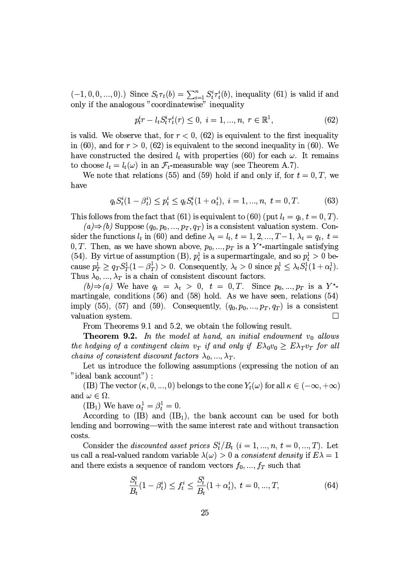$(-1, 0, 0, ..., 0)$ .) Since  $S_t \tau_t(b) = \sum_{i=1}^n S_t^i \tau_t^i(b)$ , inequality (61) is valid if and only if the analogous "coordinatewise" inequality

$$
p_t^i r - l_t S_t^i \tau_t^i(r) \le 0, \ i = 1, ..., n, \ r \in \mathbb{R}^1,
$$
\n(62)

is valid. We observe that, for  $r < 0$ , (62) is equivalent to the first inequality in (60), and for  $r > 0$ , (62) is equivalent to the second inequality in (60). We have constructed the desired  $l_t$  with properties (60) for each  $\omega$ . It remains to choose  $l_t = l_t(\omega)$  in an  $\mathcal{F}_t$ -measurable way (see Theorem A.7).

We note that relations (55) and (59) hold if and only if, for  $t = 0, T$ , we have

$$
q_t S_t^i (1 - \beta_t^i) \le p_t^i \le q_t S_t^i (1 + \alpha_t^i), \ i = 1, ..., n, \ t = 0, T. \tag{63}
$$

This follows from the fact that (61) is equivalent to (60) (put  $l_t = q_t, t = 0, T$ ).

 $(a) \Rightarrow (b)$  Suppose  $(q_0, p_0, ..., p_T, q_T)$  is a consistent valuation system. Consider the functions  $l_t$  in (60) and define  $\lambda_t = l_t$ ,  $t = 1, 2, ..., T-1$ ,  $\lambda_t = q_t$ ,  $t =$ 0, T. Then, as we have shown above,  $p_0, ..., p_T$  is a Y<sup>\*</sup>-martingale satisfying (54). By virtue of assumption (B),  $p_t^1$  is a supermartingale, and so  $p_t^1 > 0$  because  $p_T^1 \ge q_T S_T^1(1-\beta_T^1) > 0$ . Consequently,  $\lambda_t > 0$  since  $p_t^1 \le \lambda_t S_T^1(1+\alpha_t^1)$ . Thus  $\lambda_0, ..., \lambda_T$  is a chain of consistent discount factors.

 $(b) \Rightarrow (a)$  We have  $q_t = \lambda_t > 0$ ,  $t = 0, T$ . Since  $p_0, ..., p_T$  is a Y<sup>\*</sup>martingale, conditions  $(56)$  and  $(58)$  hold. As we have seen, relations  $(54)$ imply (55), (57) and (59). Consequently,  $(q_0, p_0, ..., p_T, q_T)$  is a consistent valuation system.  $\Box$ 

From Theorems 9.1 and 5.2, we obtain the following result.

**Theorem 9.2.** In the model at hand, an initial endowment  $v_0$  allows the hedging of a contingent claim  $v_T$  if and only if  $E\lambda_0v_0 \geq E\lambda_Tv_T$  for all *chains of consistent discount factors*  $\lambda_0, ..., \lambda_T$ .

Let us introduce the following assumptions (expressing the notion of an "ideal bank account"):

(IB) The vector  $(\kappa, 0, ..., 0)$  belongs to the cone  $Y_t(\omega)$  for all  $\kappa \in (-\infty, +\infty)$ and  $\omega \in \Omega$ .

(IB<sub>1</sub>) We have  $\alpha_t^1 = \beta_t^1 = 0$ .

According to  $(IB)$  and  $(IB<sub>1</sub>)$ , the bank account can be used for both lending and borrowing—with the same interest rate and without transaction costs.

Consider the *discounted asset prices*  $S_t^i/B_t$   $(i = 1, ..., n, t = 0, ..., T)$ . Let us call a real-valued random variable  $\lambda(\omega) > 0$  a consistent density if  $E\lambda = 1$ and there exists a sequence of random vectors  $f_0, ..., f_T$  such that

$$
\frac{S_t^i}{B_t}(1 - \beta_t^i) \le f_t^i \le \frac{S_t^i}{B_t}(1 + \alpha_t^i), \ t = 0, ..., T,
$$
\n(64)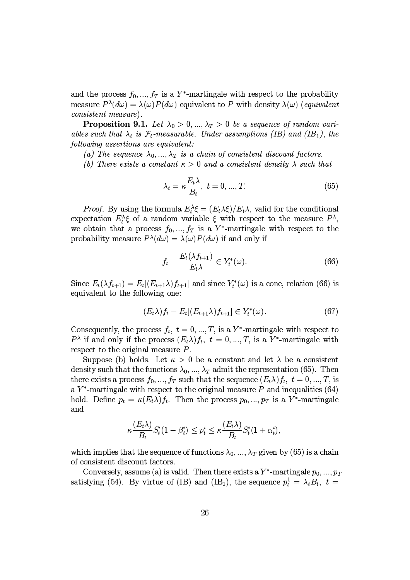$\blacksquare$  ) and the contract of the contract of the contract of the contract of the contract of the contract of the contract of the contract of the contract of the contract of the contract of the contract of the contract of measure  $P^{\lambda}(d\omega) = \lambda(\omega)P(d\omega)$  equivalent to P with density  $\lambda(\omega)$  (equivalent  $consistent$  measure).

 $\blacksquare$  . It is the set of the set of the set of the set of the set of the set of the set of the set of the set of the set of the set of the set of the set of the set of the set of the set of the set of the set of the set ables such that  $\lambda_t$  is  $\mathcal{F}_t$ -measurable. Under assumptions (IB) and (IB,) the  $following\;assertions\;are\;equivalent:$ 

 $\ell$  ) amplies the state of the state  $\ell$  -control  $\ell$  and  $\ell$  and  $\ell$  and  $\ell$  -control  $\ell$  -control  $\ell$ 

 $\mathcal{M}$  is a small-on-dependent point probability of  $\mathcal{M}$  and  $\mathcal{M}$  are dependent point  $\mathcal{M}$ 

$$
\lambda_t = \kappa \frac{E_t \lambda}{B_t}, \ t = 0, ..., T. \tag{65}
$$

*Proof.* By using the formula  $E_t^{\lambda} \xi = (E_t \lambda \xi)/E_t \lambda$ , valid for the conditional expectation  $E_t^{\lambda} \xi$  of a random variable  $\xi$  with respect to the measure  $P^{\lambda}$ ,  $\blacksquare$  . The set of the set of the set of the set of the set of the set of the set of the set of the set of the set of the set of the set of the set of the set of the set of the set of the set of the set of the set of the probability measure  $P^{\lambda}(d\omega) = \lambda(\omega)P(d\omega)$  if and only if

$$
f_t - \frac{E_t(\lambda f_{t+1})}{E_t \lambda} \in Y_t^*(\omega). \tag{66}
$$

Since  $E_t(\lambda f_{t+1}) = E_t[(E_{t+1}\lambda)f_{t+1}]$  and since  $Y_t^*(\omega)$  is a cone, relation (66) is equivalent to the following one:

$$
(E_t \lambda) f_t - E_t[(E_{t+1} \lambda) f_{t+1}] \in Y_t^*(\omega). \tag{67}
$$

Consequently, the process  $f_t$ ,  $t = 0, ..., T$ , is a Y<sup>\*</sup>-martingale with respect to  $P^{\lambda}$  if and only if the process  $(E_t \lambda) f_t$ ,  $t = 0, ..., T$ , is a Y<sup>\*</sup>-martingale with respect to the original measure  $P$ .

Suppose (b) holds. Let  $\kappa > 0$  be a constant and let  $\lambda$  be a consistent density such that the functions  $\lambda_0, ..., \lambda_T$  admit the representation (65). Then  $\mathcal{F}$  , the contract of  $\mathcal{F}$  is the contract of  $\mathcal{F}$  in the contract of  $\mathcal{F}$  in the contract of  $\mathcal{F}$  $\nabla$  37500  $\mathbf{1}$  1.1  $\mathbf{1}$  1.1  $\mathbf{1}$  1.1  $\mathbf{1}$   $\mathbf{1}$   $\mathbf{1}$   $\mathbf{1}$   $\mathbf{1}$   $\mathbf{1}$   $\mathbf{1}$   $\mathbf{1}$   $\mathbf{1}$   $\mathbf{1}$   $\mathbf{1}$   $\mathbf{1}$   $\mathbf{1}$   $\mathbf{1}$   $\mathbf{1}$   $\mathbf{1}$   $\mathbf{1}$   $\mathbf{1}$   $\mathbf{1}$ 8-\*1)HG\CB <sup>5</sup> / d<sup>5</sup> <sup>i</sup> <sup>5</sup> HI38+M758JA45/++!5! M\$U(+(\*(+h-M0%! go4575012A\*1 and

$$
\kappa \frac{(E_t \lambda)}{B_t} S_t^i (1 - \beta_t^i) \le p_t^i \le \kappa \frac{(E_t \lambda)}{B_t} S_t^i (1 + \alpha_t^i),
$$

which implies that the sequence of functions  $\lambda_0, \ldots, \lambda_T$  given by (65) is a chain of consistent discount factors.

 $\sim$  0. The 5-iD01 state of the 5-iD01 state of the 5-iD01 state of the 5-iD1 state of the 5-iD1 state of the 5-iD1 state of the 5-iD1 state of the 5-iD1 state of the 5-iD1 state of the 5-iD1 state of the 5-iD1 state of t satisfying (54) By virtue of (IB) and (IB<sub>1</sub>) the sequence  $n^1 = \lambda_1 B_1$ ,  $t =$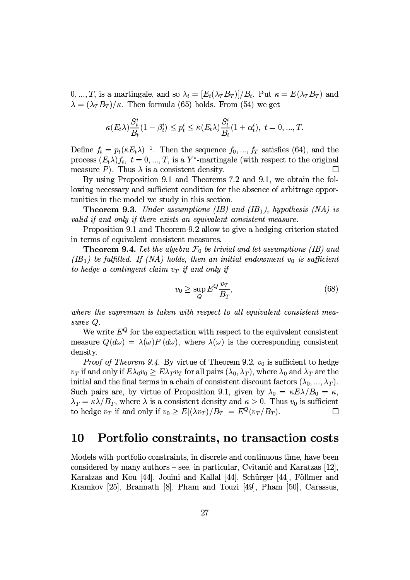$0, ..., T$ , is a martingale, and so  $\lambda_t = [E_t(\lambda_T B_T)]/B_t$ . Put  $\kappa = E(\lambda_T B_T)$  and  $\lambda = (\lambda_T B_T)/\kappa$ . Then formula (65) holds. From (54) we get

$$
\kappa(E_t\lambda)\frac{S_t^i}{B_t}(1-\beta_t^i) \le p_t^i \le \kappa(E_t\lambda)\frac{S_t^i}{B_t}(1+\alpha_t^i), \ t = 0, ..., T.
$$

Define  $f_t = p_t(\kappa E_t \lambda)^{-1}$ . Then the sequence  $f_0, ..., f_T$  satisfies (64), and the process  $(E_t \lambda) f_t$ ,  $t = 0, ..., T$ , is a Y<sup>\*</sup>-martingale (with respect to the original measure P). Thus  $\lambda$  is a consistent density.  $\Box$ 

By using Proposition 9.1 and Theorems 7.2 and 9.1, we obtain the following necessary and sufficient condition for the absence of arbitrage opportunities in the model we study in this section.

**Theorem 9.3.** Under assumptions (IB) and (IB<sub>1</sub>), hypothesis (NA) is valid if and only if there exists an equivalent consistent measure.

Proposition 9.1 and Theorem 9.2 allow to give a hedging criterion stated in terms of equivalent consistent measures.

**Theorem 9.4.** Let the algebra  $\mathcal{F}_0$  be trivial and let assumptions (IB) and  $(IB_1)$  be fulfilled. If (NA) holds, then an initial endowment  $v_0$  is sufficient to hedge a contingent claim  $v_T$  if and only if

$$
v_0 \ge \sup_Q E^Q \frac{v_T}{B_T},\tag{68}
$$

where the supremum is taken with respect to all equivalent consistent measures Q.

We write  $E^Q$  for the expectation with respect to the equivalent consistent measure  $Q(d\omega) = \lambda(\omega)P(d\omega)$ , where  $\lambda(\omega)$  is the corresponding consistent density.

*Proof of Theorem 9.4.* By virtue of Theorem 9.2,  $v_0$  is sufficient to hedge  $v_T$  if and only if  $E\lambda_0v_0 \geq E\lambda_Tv_T$  for all pairs  $(\lambda_0, \lambda_T)$ , where  $\lambda_0$  and  $\lambda_T$  are the initial and the final terms in a chain of consistent discount factors  $(\lambda_0, ..., \lambda_T)$ . Such pairs are, by virtue of Proposition 9.1, given by  $\lambda_0 = \kappa E \lambda / B_0 = \kappa$ ,  $\lambda_T = \kappa \lambda / B_T$ , where  $\lambda$  is a consistent density and  $\kappa > 0$ . Thus  $v_0$  is sufficient to hedge  $v_T$  if and only if  $v_0 \geq E[(\lambda v_T)/B_T] = E^Q(v_T/B_T)$ .  $\Box$ 

#### Portfolio constraints, no transaction costs 10

Models with portfolio constraints, in discrete and continuous time, have been considered by many authors – see, in particular, Cvitanić and Karatzas [12], Karatzas and Kou [44], Jouini and Kallal [44], Schürger [44], Föllmer and Kramkov [25], Brannath [8], Pham and Touzi [49], Pham [50], Carassus,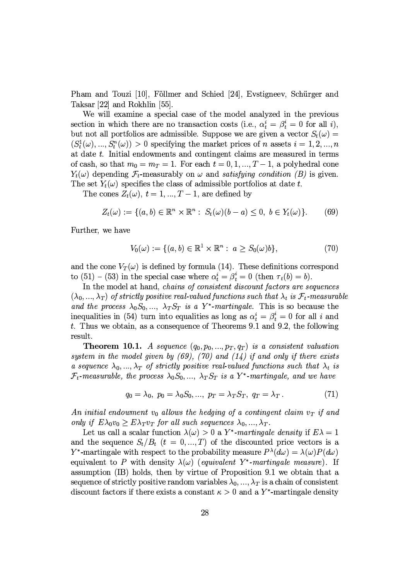Pham and Touzi [10], Föllmer and Schied [24], Evstigneev, Schürger and Taksar [22] and Rokhlin [55].

We will examine a special case of the model analyzed in the previous section in which there are no transaction costs (i.e.,  $\alpha_t^i = \beta_t^i = 0$  for all i), but not all portfolios are admissible. Suppose we are given a vector  $S_t(\omega)$  =  $(S_t^1(\omega),...,S_t^n(\omega))>0$  specifying the market prices of *n* assets  $i=1,2,...,n$ at date t. Initial endowments and contingent claims are measured in terms of cash, so that  $m_0 = m_T = 1$ . For each  $t = 0, 1, ..., T-1$ , a polyhedral cone  $Y_t(\omega)$  depending  $\mathcal{F}_t$ -measurably on  $\omega$  and satisfying condition (B) is given. The set  $Y_t(\omega)$  specifies the class of admissible portfolios at date t.

The cones  $Z_t(\omega)$ ,  $t = 1, ..., T-1$ , are defined by

$$
Z_t(\omega) := \{(a, b) \in \mathbb{R}^n \times \mathbb{R}^n : S_t(\omega)(b - a) \le 0, \ b \in Y_t(\omega)\}.
$$
 (69)

Further, we have

$$
V_0(\omega) := \{ (a, b) \in \mathbb{R}^1 \times \mathbb{R}^n : a \ge S_0(\omega) b \},\tag{70}
$$

and the cone  $V_T(\omega)$  is defined by formula (14). These definitions correspond to (51) – (53) in the special case where  $\alpha_t^i = \beta_t^i = 0$  (then  $\tau_t(b) = b$ ).

In the model at hand, chains of consistent discount factors are sequences  $(\lambda_0, ..., \lambda_T)$  of strictly positive real-valued functions such that  $\lambda_t$  is  $\mathcal{F}_t$ -measurable and the process  $\lambda_0 S_0, ..., \lambda_T S_T$  is a Y<sup>\*</sup>-martingale. This is so because the inequalities in (54) turn into equalities as long as  $\alpha_t^i = \beta_t^i = 0$  for all i and t. Thus we obtain, as a consequence of Theorems 9.1 and 9.2, the following result.

**Theorem 10.1.** A sequence  $(q_0, p_0, ..., p_T, q_T)$  is a consistent valuation system in the model given by  $(69)$ ,  $(70)$  and  $(14)$  if and only if there exists a sequence  $\lambda_0, ..., \lambda_T$  of strictly positive real-valued functions such that  $\lambda_t$  is  $\mathcal{F}_t$ -measurable, the process  $\lambda_0 S_0, ..., \lambda_T S_T$  is a Y<sup>\*</sup>-martingale, and we have

$$
q_0 = \lambda_0, \ p_0 = \lambda_0 S_0, \dots, \ p_T = \lambda_T S_T, \ q_T = \lambda_T. \tag{71}
$$

An initial endowment  $v_0$  allows the hedging of a contingent claim  $v_T$  if and only if  $E\lambda_0v_0 \geq E\lambda_Tv_T$  for all such sequences  $\lambda_0, ..., \lambda_T$ .

Let us call a scalar function  $\lambda(\omega) > 0$  a Y<sup>\*</sup>-martingale density if  $E\lambda = 1$ and the sequence  $S_t/B_t$  ( $t = 0, ..., T$ ) of the discounted price vectors is a Y<sup>\*</sup>-martingale with respect to the probability measure  $P^{\lambda}(d\omega) = \lambda(\omega)P(d\omega)$ equivalent to P with density  $\lambda(\omega)$  (equivalent Y<sup>\*</sup>-martingale measure). If assumption (IB) holds, then by virtue of Proposition 9.1 we obtain that a sequence of strictly positive random variables  $\lambda_0, ..., \lambda_T$  is a chain of consistent discount factors if there exists a constant  $\kappa > 0$  and a Y<sup>\*</sup>-martingale density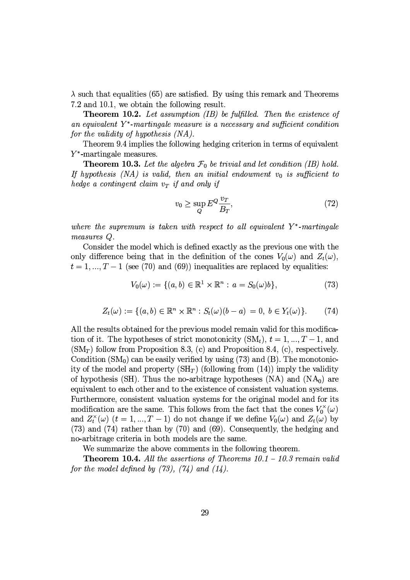$\lambda$  such that equalities (65) are satisfied. By using this remark and Theorems  $7.2$  and  $10.1$ , we obtain the following result.

 TN ^M\`\aVNiPRKL)-#`T
YaW[![R[ZT-% \$MTL N%\$MTTPR\`NQTLOJ`TK>Y  $\mathcal{M}$  , the state of the state of the state of the state of the state of the state of the state of the state of the state of the state of the state of the state of the state of the state of the state of the state of th  $\mathcal{M}$  , we have the subset of  $\mathcal{M}$  and  $\mathcal{M}$ 

Theorem 9.4 implies the following hedging criterion in terms of equivalent  $Y^*$ -martingale measures.

 TNN%\$MTD^M[ZSUTUX!^3 %\$ `TDNQX`PUPR^M[O^ML-[\*TNJ`KML-MPRNQPRKML -# \$MKM["-%  $\bullet$  and the state of the state of the state of  $\bullet$  . The state of the state of the state of the state of the state of the state of the state of the state of the state of the state of the state of the state of the state  $\blacksquare$  and the py state of  $\blacksquare$  . The py state of  $\blacksquare$ 

$$
v_0 \ge \sup_Q E^Q \frac{v_T}{B_T},\tag{72}
$$

 $\mathcal{M}$  and  $\mathcal{M}$  are the  $\mathcal{M}$  -state  $\mathcal{M}$  . The contract of tua  $\mathcal{M}$  and  $\mathcal{M}$ measures  $Q$ .

Consider the model which is defined exactly as the previous one with the -\*1;K)01}A+45+/+G:.012M7587(0%j758)+B0%7501-j,758AG/+-+! \$ dAGi() =5@dAGi59  $t = 1, ..., T - 1$  (see (70) and (69)) inequalities are replaced by equalities:

$$
V_0(\omega) := \{ (a, b) \in \mathbb{R}^1 \times \mathbb{R}^n : a = S_0(\omega)b \},
$$
\n(73)

$$
Z_t(\omega) := \{ (a, b) \in \mathbb{R}^n \times \mathbb{R}^n : S_t(\omega)(b - a) = 0, \ b \in Y_t(\omega) \}. \tag{74}
$$

All the results obtained for the previous model remain valid for this modification of it. The hypotheses of strict monotonicity  $(SM_t)$ ,  $t = 1, ..., T-1$ , and  $(SM_T)$  follow from Proposition 8.3, (c) and Proposition 8.4, (c), respectively. Condition  $(SM_0)$  can be easily verified by using (73) and (B). The monotonicity of the model and property  $(SH_T)$  (following from (14)) imply the validity of hypothesis (SH). Thus the no-arbitrage hypotheses  $(NA)$  and  $(NA<sub>0</sub>)$  are equivalent to each other and to the existence of consistent valuation systems. Furthermore, consistent valuation systems for the original model and for its  $\mathbf{11}_{\mathcal{A}}$  is the  $\mathbf{1}_{\mathcal{A}}$  and  $\mathbf{1}_{\mathcal{A}}$  as defined as defined by defining  $\mathbf{1}_{\mathcal{A}}$ ) for a set of the contract of the contract of the contract of the contract of the contract of the contract of the contract of the contract of the contract of the contract of the contract of the contract of the contract o  $(73)$  and  $(74)$  rather than by  $(70)$  and  $(69)$ . Consequently, the hedging and no-arbitrage criteria in both models are the same.

We summarize the above comments in the following theorem.

 "[R[ N%\$MTD^M\`\`TX>NQPRKML,\
K`Y \$MT`KMX!T\ -%- -% X!T^PRL ^M[\*P-. A set of the set of the set of the set of the set of the set of the set of the set of the set of the set of the set of the set of the set of the set of the set of the set of the set of the set of the set of the set of th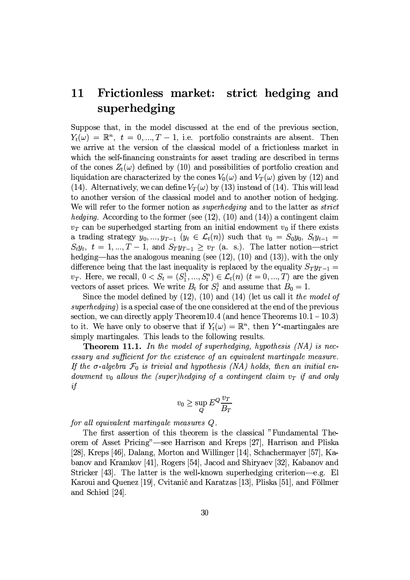#### Frictionless market: strict hedging and 11 superhedging

Suppose that, in the model discussed at the end of the previous section,  $Y_t(\omega) = \mathbb{R}^n$ ,  $t = 0, ..., T-1$ , i.e. portfolio constraints are absent. Then we arrive at the version of the classical model of a frictionless market in which the self-financing constraints for asset trading are described in terms of the cones  $Z_t(\omega)$  defined by (10) and possibilities of portfolio creation and liquidation are characterized by the cones  $V_0(\omega)$  and  $V_T(\omega)$  given by (12) and (14). Alternatively, we can define  $V_T(\omega)$  by (13) instead of (14). This will lead to another version of the classical model and to another notion of hedging. We will refer to the former notion as *superhedging* and to the latter as *strict hedging.* According to the former (see  $(12)$ ,  $(10)$  and  $(14)$ ) a contingent claim  $v_T$  can be superhedged starting from an initial endowment  $v_0$  if there exists a trading strategy  $y_0, ..., y_{T-1}$   $(y_t \in \mathcal{L}_t(n))$  such that  $v_0 = S_0 y_0, S_t y_{t-1}$  $S_t y_t$ ,  $t = 1, ..., T - 1$ , and  $S_T y_{T-1} \ge v_T$  (a. s.). The latter notion—strict hedging—has the analogous meaning (see  $(12)$ ,  $(10)$  and  $(13)$ ), with the only difference being that the last inequality is replaced by the equality  $S_T y_{T-1} =$  $v_T$ . Here, we recall,  $0 < S_t = (S_1^1, ..., S_t^n) \in \mathcal{L}_t(n)$   $(t = 0, ..., T)$  are the given vectors of asset prices. We write  $B_t$  for  $S_t^1$  and assume that  $B_0 = 1$ .

Since the model defined by  $(12)$ ,  $(10)$  and  $(14)$  (let us call it the model of superhedging) is a special case of the one considered at the end of the previous section, we can directly apply Theorem 10.4 (and hence Theorems  $10.1 - 10.3$ ) to it. We have only to observe that if  $Y_t(\omega) = \mathbb{R}^n$ , then Y<sup>\*</sup>-martingales are simply martingales. This leads to the following results.

**Theorem 11.1.** In the model of superhedging, hypothesis  $(NA)$  is necessary and sufficient for the existence of an equivalent martingale measure. If the  $\sigma$ -algebra  $\mathcal{F}_0$  is trivial and hypothesis (NA) holds, then an initial endowment  $v_0$  allows the (super)hedging of a contingent claim  $v_T$  if and only  $if$ 

$$
v_0 \ge \sup_Q E^Q \frac{v_T}{B_T}
$$

for all equivalent martingale measures  $Q$ .

The first assertion of this theorem is the classical "Fundamental Theorem of Asset Pricing"—see Harrison and Kreps [27], Harrison and Pliska [28], Kreps [46], Dalang, Morton and Willinger [14], Schachermayer [57], Kabanov and Kramkov [41], Rogers [54], Jacod and Shiryaev [32], Kabanov and Stricker [43]. The latter is the well-known superhedging criterion—e.g. El Karoui and Quenez [19], Cvitanić and Karatzas [13], Pliska [51], and Föllmer and Schied [24].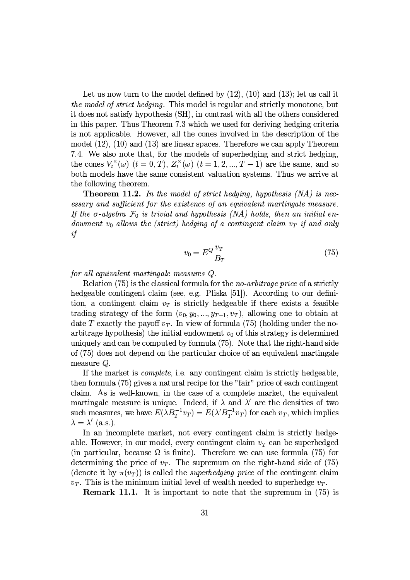Let us now turn to the model defined by  $(12)$ ,  $(10)$  and  $(13)$ ; let us call it *the model of strict hedging.* This model is regular and strictly monotone, but it does not satisfy hypothesis (SH), in contrast with all the others considered in this paper. Thus Theorem 7.3 which we used for deriving hedging criteria is not applicable. However, all the cones involved in the description of the model  $(12)$ ,  $(10)$  and  $(13)$  are linear spaces. Therefore we can apply Theorem 7.4. We also note that, for the models of superhedging and strict hedging, the cones  $V_t^{\times}(\omega)$   $(t = 0, T)$ ,  $Z_t^{\times}(\omega)$   $(t = 1, 2, ..., T - 1)$  are the same, and so both models have the same consistent valuation systems. Thus we arrive at the following theorem.

**Theorem 11.2.** In the model of strict hedging, hypothesis  $(NA)$  is necessary and sufficient for the existence of an equivalent martingale measure. If the  $\sigma$ -algebra  $\mathcal{F}_0$  is trivial and hypothesis (NA) holds, then an initial endowment  $v_0$  allows the (strict) hedging of a contingent claim  $v_T$  if and only  $if$ 

$$
v_0 = E^Q \frac{v_T}{B_T} \tag{75}
$$

### for all equivalent martingale measures Q.

Relation  $(75)$  is the classical formula for the *no-arbitrage price* of a strictly hedgeable contingent claim (see, e.g. Pliska [51]). According to our definition, a contingent claim  $v_T$  is strictly hedgeable if there exists a feasible trading strategy of the form  $(v_0, y_0, ..., y_{T-1}, v_T)$ , allowing one to obtain at date T exactly the payoff  $v_T$ . In view of formula (75) (holding under the noarbitrage hypothesis) the initial endowment  $v_0$  of this strategy is determined uniquely and can be computed by formula (75). Note that the right-hand side of (75) does not depend on the particular choice of an equivalent martingale measure  $Q$ .

If the market is *complete*, i.e. any contingent claim is strictly hedgeable, then formula (75) gives a natural recipe for the "fair" price of each contingent claim. As is well-known, in the case of a complete market, the equivalent martingale measure is unique. Indeed, if  $\lambda$  and  $\lambda'$  are the densities of two such measures, we have  $E(\lambda B_T^{-1}v_T) = E(\lambda' B_T^{-1}v_T)$  for each  $v_T$ , which implies  $\lambda = \lambda'$  (a.s.).

In an incomplete market, not every contingent claim is strictly hedgeable. However, in our model, every contingent claim  $v_T$  can be superhedged (in particular, because  $\Omega$  is finite). Therefore we can use formula (75) for determining the price of  $v_T$ . The supremum on the right-hand side of (75) (denote it by  $\pi(v_T)$ ) is called the *superhedging price* of the contingent claim  $v_T$ . This is the minimum initial level of wealth needed to superhedge  $v_T$ .

**Remark 11.1.** It is important to note that the supremum in (75) is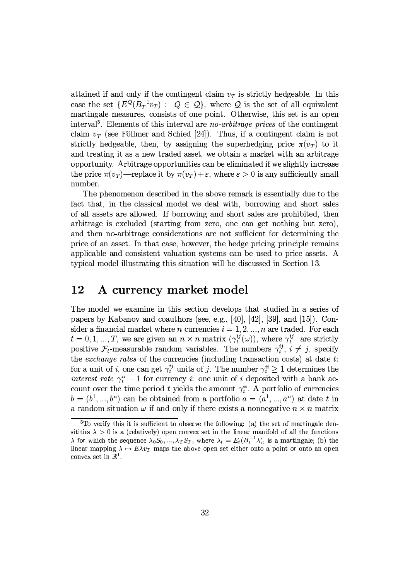attained if and only if the contingent claim  $v_T$  is strictly hedgeable. In this case the set  $\{E^{Q}(B_T^{-1}v_T): Q \in \mathcal{Q}\}\$ , where  $\mathcal Q$  is the set of all equivalent martingale measures, consists of one point. Otherwise, this set is an open interval<sup>5</sup>. Elements of this interval are *no-arbitrage prices* of the contingent claim  $v_T$  (see Föllmer and Schied [24]). Thus, if a contingent claim is not strictly hedgeable, then, by assigning the superhedging price  $\pi(v_T)$  to it and treating it as a new traded asset, we obtain a market with an arbitrage opportunity. Arbitrage opportunities can be eliminated if we slightly increase the price  $\pi(v_T)$ —replace it by  $\pi(v_T) + \varepsilon$ , where  $\varepsilon > 0$  is any sufficiently small number.

The phenomenon described in the above remark is essentially due to the fact that, in the classical model we deal with, borrowing and short sales of all assets are allowed. If borrowing and short sales are prohibited, then arbitrage is excluded (starting from zero, one can get nothing but zero). and then no-arbitrage considerations are not sufficient for determining the price of an asset. In that case, however, the hedge pricing principle remains applicable and consistent valuation systems can be used to price assets. A typical model illustrating this situation will be discussed in Section 13.

#### 12 A currency market model

The model we examine in this section develops that studied in a series of papers by Kabanov and coauthors (see, e.g., [40], [42], [39], and [15]). Consider a financial market where *n* currencies  $i = 1, 2, ..., n$  are traded. For each  $t = 0, 1, ..., T$ , we are given an  $n \times n$  matrix  $(\gamma_t^{ij}(\omega))$ , where  $\gamma_t^{ij}$  are strictly positive  $\mathcal{F}_t$ -measurable random variables. The numbers  $\gamma_t^{ij}$ ,  $i \neq j$ , specify the exchange rates of the currencies (including transaction costs) at date t: for a unit of i, one can get  $\gamma_t^{ij}$  units of j. The number  $\gamma_t^{ii} \ge 1$  determines the interest rate  $\gamma_t^{ii} - 1$  for currency *i*: one unit of *i* deposited with a bank account over the time period t yields the amount  $\gamma_t^{ii}$ . A portfolio of currencies  $b=(b^1,...,b^n)$  can be obtained from a portfolio  $a=(a^1,...,a^n)$  at date t in a random situation  $\omega$  if and only if there exists a nonnegative  $n \times n$  matrix

 ${}^{5}$ To verify this it is sufficient to observe the following: (a) the set of martingale densitities  $\lambda > 0$  is a (relatively) open convex set in the linear manifold of all the functions  $\lambda$  for which the sequence  $\lambda_0 S_0, ..., \lambda_T S_T$ , where  $\lambda_t = E_t(B_t^{-1}\lambda)$ , is a martingale; (b) the linear mapping  $\lambda \mapsto E \lambda v_T$  maps the above open set either onto a point or onto an open convex set in  $\mathbb{R}^1$ .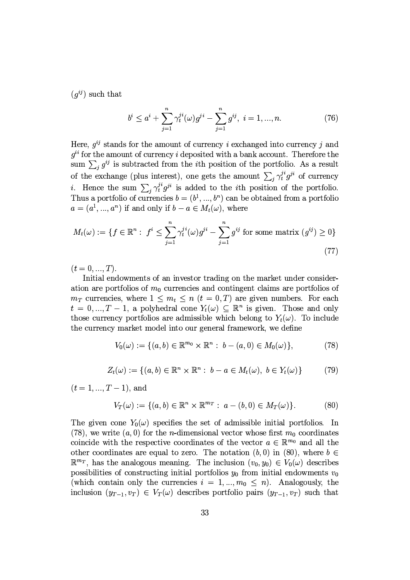$(q^{ij})$  such that

$$
b^{i} \le a^{i} + \sum_{j=1}^{n} \gamma_{t}^{ji}(\omega)g^{ji} - \sum_{j=1}^{n} g^{ij}, \ i = 1, ..., n. \tag{76}
$$

Here,  $q^{ij}$  stands for the amount of currency i exchanged into currency j and  $g^{ii}$  for the amount of currency i deposited with a bank account. Therefore the sum  $\sum_{j} g^{ij}$  is subtracted from the *i*th position of the portfolio. As a result of the exchange (plus interest), one gets the amount  $\sum_j \gamma_i^{ij} g^{ji}$  of currency *i*. Hence the sum  $\sum_j \gamma_i^{ji} g^{ji}$  is added to the *i*th position of the portfolio. Thus a portfolio of currencies  $b=(b^1,...,b^n)$  can be obtained from a portfolio  $a=(a^1,...,a^n)$  if and only if  $b-a\in M_t(\omega)$ , where

$$
M_t(\omega) := \{ f \in \mathbb{R}^n : f^i \le \sum_{j=1}^n \gamma_i^{ji}(\omega) g^{ji} - \sum_{j=1}^n g^{ij} \text{ for some matrix } (g^{ij}) \ge 0 \}
$$
\n
$$
(77)
$$

 $(t = 0, ..., T).$ 

Initial endowments of an investor trading on the market under consideration are portfolios of  $m_0$  currencies and contingent claims are portfolios of  $m_T$  currencies, where  $1 \leq m_t \leq n$   $(t = 0, T)$  are given numbers. For each  $t = 0, ..., T - 1$ , a polyhedral cone  $Y_t(\omega) \subseteq \mathbb{R}^n$  is given. Those and only those currency portfolios are admissible which belong to  $Y_t(\omega)$ . To include the currency market model into our general framework, we define

$$
V_0(\omega) := \{ (a, b) \in \mathbb{R}^{m_0} \times \mathbb{R}^n : b - (a, 0) \in M_0(\omega) \},
$$
 (78)

$$
Z_t(\omega) := \{(a, b) \in \mathbb{R}^n \times \mathbb{R}^n : b - a \in M_t(\omega), b \in Y_t(\omega)\}
$$
(79)

 $(t = 1, ..., T - 1)$ , and

$$
V_T(\omega) := \{ (a, b) \in \mathbb{R}^n \times \mathbb{R}^{m_T} : a - (b, 0) \in M_T(\omega) \}. \tag{80}
$$

The given cone  $Y_0(\omega)$  specifies the set of admissible initial portfolios. In (78), we write  $(a, 0)$  for the *n*-dimensional vector whose first  $m_0$  coordinates coincide with the respective coordinates of the vector  $a \in \mathbb{R}^{m_0}$  and all the other coordinates are equal to zero. The notation  $(b, 0)$  in (80), where  $b \in$  $\mathbb{R}^{m_T}$ , has the analogous meaning. The inclusion  $(v_0, y_0) \in V_0(\omega)$  describes possibilities of constructing initial portfolios  $y_0$  from initial endowments  $v_0$ (which contain only the currencies  $i = 1, ..., m_0 \leq n$ ). Analogously, the inclusion  $(y_{T-1}, v_T) \in V_T(\omega)$  describes portfolio pairs  $(y_{T-1}, v_T)$  such that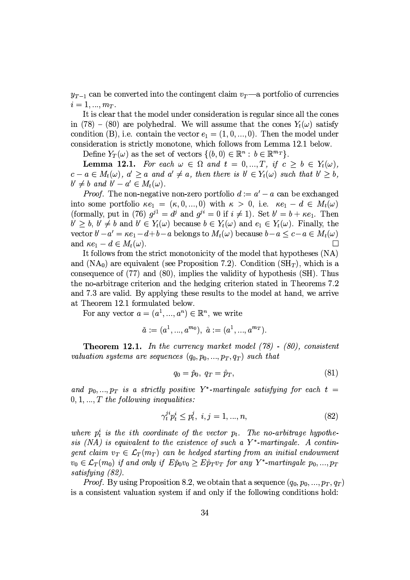$y_{T-1}$  can be converted into the contingent claim  $v_T$ —a portfolio of currencies  $i = 1, ..., m_T$ .

It is clear that the model under consideration is regular since all the cones in (78) – (80) are polyhedral. We will assume that the cones  $Y_t(\omega)$  satisfy condition (B), i.e. contain the vector  $e_1 = (1, 0, ..., 0)$ . Then the model under consideration is strictly monotone, which follows from Lemma 12.1 below.

Define  $Y_T(\omega)$  as the set of vectors  $\{(b,0) \in \mathbb{R}^n : b \in \mathbb{R}^{m_T}\}.$ 

**Lemma 12.1.** For each  $\omega \in \Omega$  and  $t = 0, ..., T$ , if  $c \ge b \in Y_t(\omega)$ ,  $c-a \in M_t(\omega)$ ,  $a' \ge a$  and  $a' \ne a$ , then there is  $b' \in Y_t(\omega)$  such that  $b' \ge b$ ,  $b' \neq b$  and  $b' - a' \in M_t(\omega)$ .

*Proof.* The non-negative non-zero portfolio  $d := a' - a$  can be exchanged into some portfolio  $\kappa e_1 = (\kappa, 0, ..., 0)$  with  $\kappa > 0$ , i.e.  $\kappa e_1 - d \in M_t(\omega)$ (formally, put in (76)  $g^{j1} = d^j$  and  $g^{ji} = 0$  if  $i \neq 1$ ). Set  $b' = b + \kappa e_1$ . Then  $b' \geq b, b' \neq b$  and  $b' \in Y_t(\omega)$  because  $b \in Y_t(\omega)$  and  $e_1 \in Y_t(\omega)$ . Finally, the vector  $b'-a' = \kappa e_1 - d + b - a$  belongs to  $M_t(\omega)$  because  $b-a \leq c-a \in M_t(\omega)$ and  $\kappa e_1 - d \in M_t(\omega)$ .  $\Box$ 

It follows from the strict monotonicity of the model that hypotheses (NA) and  $(NA_0)$  are equivalent (see Proposition 7.2). Condition (SH<sub>T</sub>), which is a consequence of  $(77)$  and  $(80)$ , implies the validity of hypothesis  $(SH)$ . Thus the no-arbitrage criterion and the hedging criterion stated in Theorems 7.2 and 7.3 are valid. By applying these results to the model at hand, we arrive at Theorem 12.1 formulated below.

For any vector  $a = (a^1, ..., a^n) \in \mathbb{R}^n$ , we write

$$
\check a:=(a^1,...,a^{m_0}),\,\,\hat a:=(a^1,...,a^{m_T}).
$$

**Theorem 12.1.** In the currency market model  $(78)$  -  $(80)$ , consistent valuation systems are sequences  $(q_0, p_0, ..., p_T, q_T)$  such that

$$
q_0 = \check{p}_0, \ q_T = \hat{p}_T,\tag{81}
$$

and  $p_0, ..., p_T$  is a strictly positive Y<sup>\*</sup>-martingale satisfying for each  $t =$  $0, 1, ..., T$  the following inequalities:

$$
\gamma_t^{j} p_t^i \le p_t^j, \ i, j = 1, ..., n,\tag{82}
$$

where  $p_t^i$  is the ith coordinate of the vector  $p_t$ . The no-arbitrage hypothesis (NA) is equivalent to the existence of such a  $Y^*$ -martingale. A contingent claim  $v_T \in \mathcal{L}_T(m_T)$  can be hedged starting from an initial endowment  $v_0 \in \mathcal{L}_T(m_0)$  if and only if  $E\check{p}_0v_0 \geq E\hat{p}_Tv_T$  for any Y<sup>\*</sup>-martingale  $p_0, ..., p_T$ satisfying  $(82)$ .

*Proof.* By using Proposition 8.2, we obtain that a sequence  $(q_0, p_0, ..., p_T, q_T)$ is a consistent valuation system if and only if the following conditions hold: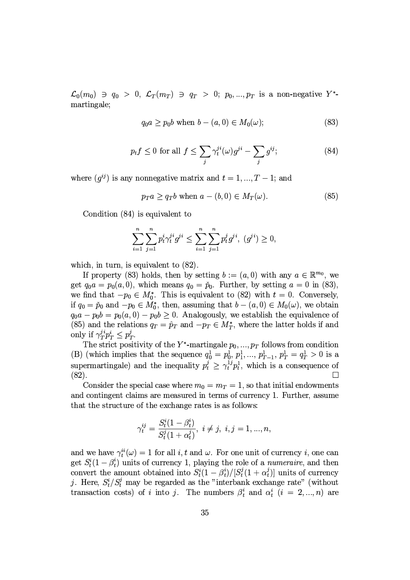$\mathcal{L}_0(m_0) \ni q_0 > 0, \mathcal{L}_T(m_T) \ni q_T > 0; p_0, ..., p_T$  is a non-negative Y<sup>\*</sup>martingale;

$$
q_0 a \ge p_0 b \text{ when } b - (a, 0) \in M_0(\omega); \tag{83}
$$

$$
p_t f \le 0 \text{ for all } f \le \sum_j \gamma_t^{ji} (\omega) g^{ji} - \sum_j g^{ij}; \tag{84}
$$

where  $(q^{ij})$  is any nonnegative matrix and  $t = 1, ..., T - 1$ ; and

$$
p_T a \ge q_T b \text{ when } a - (b, 0) \in M_T(\omega). \tag{85}
$$

Condition  $(84)$  is equivalent to

$$
\sum_{i=1}^{n} \sum_{j=1}^{n} p_t^i \gamma_t^{ji} g^{ji} \le \sum_{i=1}^{n} \sum_{j=1}^{n} p_t^j g^{ji}, \ (g^{ji}) \ge 0,
$$

which, in turn, is equivalent to  $(82)$ .

If property (83) holds, then by setting  $b := (a, 0)$  with any  $a \in \mathbb{R}^{m_0}$ , we get  $q_0a = p_0(a,0)$ , which means  $q_0 = \tilde{p}_0$ . Further, by setting  $a = 0$  in (83), we find that  $-p_0 \in M_0^*$ . This is equivalent to (82) with  $t = 0$ . Conversely, if  $q_0 = \tilde{p}_0$  and  $-p_0 \in M_0^*$ , then, assuming that  $b - (a, 0) \in M_0(\omega)$ , we obtain  $q_0a - p_0b = p_0(a, 0) - p_0b \ge 0$ . Analogously, we establish the equivalence of (85) and the relations  $q_T = \hat{p}_T$  and  $-p_T \in M_T^*$ , where the latter holds if and only if  $\gamma_T^{j} p_T^i \leq p_T^j$ .

The strict positivity of the Y<sup>\*</sup>-martingale  $p_0, ..., p_T$  follows from condition (B) (which implies that the sequence  $q_0^1 = p_0^1, p_1^1, ..., p_{T-1}^1, p_T^1 = q_T^1 > 0$  is a supermartingale) and the inequality  $p_t^j \geq \gamma_t^{1j} p_t^1$ , which is a consequence of  $(82).$  $\Box$ 

Consider the special case where  $m_0 = m_T = 1$ , so that initial endowments and contingent claims are measured in terms of currency 1. Further, assume that the structure of the exchange rates is as follows:

$$
\gamma_t^{ij} = \frac{S_t^i(1-\beta_t^i)}{S_t^j(1+\alpha_t^j)}, \ i \neq j, \ i, j = 1, ..., n,
$$

and we have  $\gamma_i^{ii}(\omega) = 1$  for all i, t and  $\omega$ . For one unit of currency i, one can get  $S_t^i(1-\beta_t^i)$  units of currency 1, playing the role of a *numeraire*, and then convert the amount obtained into  $S_t^i(1-\beta_t^i)/[S_t^j(1+\alpha_t^j)]$  units of currency j. Here,  $S_t^i/S_t^j$  may be regarded as the "interbank exchange rate" (without transaction costs) of *i* into *j*. The numbers  $\beta_t^i$  and  $\alpha_t^i$  (*i* = 2, ..., *n*) are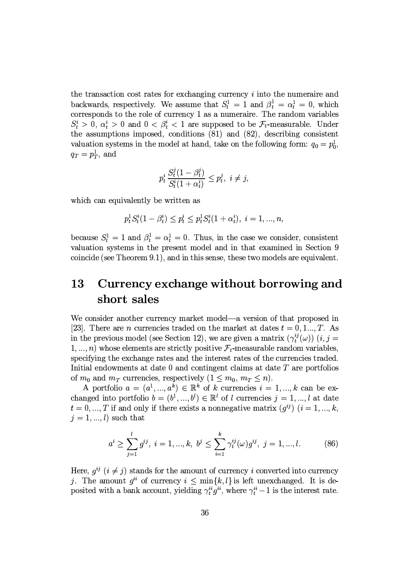the transaction cost rates for exchanging currency  $i$  into the numeraire and backwards, respectively. We assume that  $S_t^1 = 1$  and  $\beta_t^1 = \alpha_t^1 = 0$ , which corresponds to the role of currency 1 as a numeraire. The random variables  $S_t^i > 0$ ,  $\alpha_t^i > 0$  and  $0 < \beta_t^i < 1$  are supposed to be  $\mathcal{F}_t$ -measurable. Under the assumptions imposed, conditions (81) and (82), describing consistent valuation systems in the model at hand, take on the following form:  $q_0 = p_0^1$ ,  $q_T = p_T^1$ , and

$$
p_t^i \frac{S_t^j(1-\beta_t^j)}{S_t^i(1+\alpha_t^i)} \le p_t^j, \ i \ne j,
$$

which can equivalently be written as

$$
p_t^1 S_t^i (1-\beta_t^i) \leq p_t^i \leq p_t^1 S_t^i (1+\alpha_t^i), \; i=1,...,n,
$$

because  $S_t^1 = 1$  and  $\beta_t^1 = \alpha_t^1 = 0$ . Thus, in the case we consider, consistent valuation systems in the present model and in that examined in Section 9 coincide (see Theorem 9.1), and in this sense, these two models are equivalent.

### 13 Currency exchange without borrowing and short sales

We consider another currency market model—a version of that proposed in [23]. There are *n* currencies traded on the market at dates  $t = 0, 1, ..., T$ . As in the previous model (see Section 12), we are given a matrix  $(\gamma_t^{ij}(\omega))$   $(i, j =$ 1, ..., n) whose elements are strictly positive  $\mathcal{F}_t$ -measurable random variables, specifying the exchange rates and the interest rates of the currencies traded. Initial endowments at date  $0$  and contingent claims at date  $T$  are portfolios of  $m_0$  and  $m_T$  currencies, respectively  $(1 \leq m_0, m_T \leq n)$ .

A portfolio  $a = (a^1, ..., a^k) \in \mathbb{R}^k$  of k currencies  $i = 1, ..., k$  can be exchanged into portfolio  $b = (b^1, ..., b^l) \in \mathbb{R}^l$  of l currencies  $j = 1, ..., l$  at date  $t = 0, ..., T$  if and only if there exists a nonnegative matrix  $(g^{ij})$   $(i = 1, ..., k,$  $i = 1, ..., l$  such that

$$
a^{i} \geq \sum_{j=1}^{l} g^{ij}, \ i = 1, ..., k, \ b^{j} \leq \sum_{i=1}^{k} \gamma_{t}^{ij}(\omega) g^{ij}, \ j = 1, ..., l. \tag{86}
$$

Here,  $q^{ij}$   $(i \neq j)$  stands for the amount of currency i converted into currency j. The amount  $g^{ii}$  of currency  $i \leq \min\{k, l\}$  is left unexchanged. It is deposited with a bank account, yielding  $\gamma_t^{ii} g^{ii}$ , where  $\gamma_t^{ii} - 1$  is the interest rate.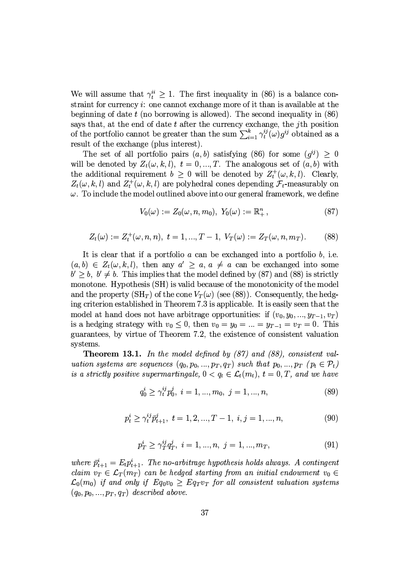We will assume that  $\gamma_t^{ii} \geq 1$ . The first inequality in (86) is a balance constraint for currency  $i$ : one cannot exchange more of it than is available at the beginning of date  $t$  (no borrowing is allowed). The second inequality in  $(86)$ says that, at the end of date  $t$  after the currency exchange, the *j*th position of the portfolio cannot be greater than the sum  $\sum_{i=1}^{k} \gamma_t^{ij} (\omega) g^{ij}$  obtained as a result of the exchange (plus interest).

The set of all portfolio pairs  $(a, b)$  satisfying (86) for some  $(g^{ij}) \geq 0$ will be denoted by  $Z_t(\omega, k, l)$ ,  $t = 0, ..., T$ . The analogous set of  $(a, b)$  with the additional requirement  $b \geq 0$  will be denoted by  $Z_t^+(\omega, k, l)$ . Clearly,  $Z_t(\omega, k, l)$  and  $Z_t^+(\omega, k, l)$  are polyhedral cones depending  $\mathcal{F}_t$ -measurably on  $\omega$ . To include the model outlined above into our general framework, we define

$$
V_0(\omega) := Z_0(\omega, n, m_0), \ Y_0(\omega) := \mathbb{R}^n_+, \tag{87}
$$

$$
Z_t(\omega) := Z_t^+(\omega, n, n), \ t = 1, ..., T - 1, \ V_T(\omega) := Z_T(\omega, n, m_T). \tag{88}
$$

It is clear that if a portfolio a can be exchanged into a portfolio  $b$ , i.e.  $(a, b) \in Z_t(\omega, k, l)$ , then any  $a' \ge a, a \ne a$  can be exchanged into some  $b' \geq b, b' \neq b$ . This implies that the model defined by (87) and (88) is strictly monotone. Hypothesis (SH) is valid because of the monotonicity of the model and the property  $(SH_T)$  of the cone  $V_T(\omega)$  (see (88)). Consequently, the hedging criterion established in Theorem 7.3 is applicable. It is easily seen that the model at hand does not have arbitrage opportunities: if  $(v_0, y_0, ..., y_{T-1}, v_T)$ is a hedging strategy with  $v_0 \leq 0$ , then  $v_0 = y_0 = ... = y_{T-1} = v_T = 0$ . This guarantees, by virtue of Theorem 7.2, the existence of consistent valuation systems.

**Theorem 13.1.** In the model defined by  $(87)$  and  $(88)$ , consistent valuation systems are sequences  $(q_0, p_0, ..., p_T, q_T)$  such that  $p_0, ..., p_T$   $(p_t \in P_t)$ is a strictly positive supermartingale,  $0 < q_t \in \mathcal{L}_t(m_t)$ ,  $t = 0, T$ , and we have

$$
q_0^i \ge \gamma_t^{ij} p_0^j, \ i = 1, ..., m_0, \ j = 1, ..., n,
$$
\n(89)

$$
p_t^i \ge \gamma_t^{ij} \bar{p}_{t+1}^j, \ t = 1, 2, ..., T - 1, \ i, j = 1, ..., n,
$$
\n(90)

$$
p_T^i \ge \gamma_T^{ij} q_T^j, \ i = 1, ..., n, \ j = 1, ..., m_T,
$$
\n(91)

where  $\bar{p}_{t+1}^i = E_t p_{t+1}^i$ . The no-arbitrage hypothesis holds always. A contingent claim  $v_T \in \mathcal{L}_T(m_T)$  can be hedged starting from an initial endowment  $v_0 \in$  $\mathcal{L}_0(m_0)$  if and only if  $Eq_0v_0 \geq Eq_Tv_T$  for all consistent valuation systems  $(q_0, p_0, ..., p_T, q_T)$  described above.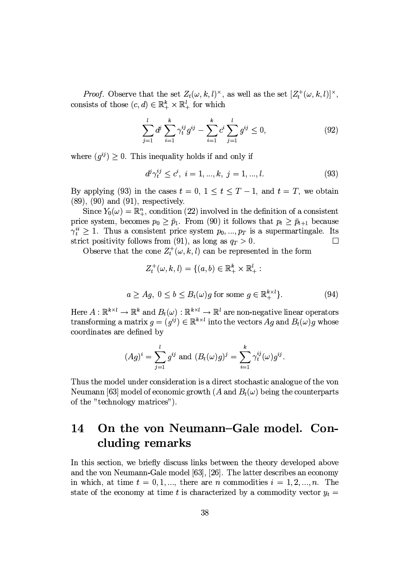*Proof.* Observe that the set  $Z_t(\omega, k, l)^{\times}$ , as well as the set  $[Z_t^+(\omega, k, l)]^{\times}$ , consists of those  $(c,d)\in\mathbb{R}^k_+\times\mathbb{R}^l_+$  for which

$$
\sum_{j=1}^{l} d^{j} \sum_{i=1}^{k} \gamma_{t}^{ij} g^{ij} - \sum_{i=1}^{k} c^{i} \sum_{j=1}^{l} g^{ij} \le 0,
$$
\n(92)

where  $(g^{ij}) \geq 0$ . This inequality holds if and only if

 $\overline{a}$ 

$$
d^j \gamma_t^{ij} \le c^i, \ i = 1, ..., k, \ j = 1, ..., l. \tag{93}
$$

By applying (93) in the cases  $t = 0, 1 \le t \le T - 1$ , and  $t = T$ , we obtain  $(89)$ ,  $(90)$  and  $(91)$ , respectively.

Since  $Y_0(\omega) = \mathbb{R}^n_+$ , condition (22) involved in the definition of a consistent price system, becomes  $p_0 \geq \bar{p}_1$ . From (90) it follows that  $p_t \geq \bar{p}_{t+1}$  because  $\gamma_t^{ii} \geq 1$ . Thus a consistent price system  $p_0, ..., p_T$  is a supermartingale. Its strict positivity follows from (91), as long as  $q_T > 0$ .  $\Box$ 

Observe that the cone  $Z_t^+(\omega, k, l)$  can be represented in the form

$$
Z_t^+(\omega, k, l) = \{(a, b) \in \mathbb{R}_+^k \times \mathbb{R}_+^l :
$$
  

$$
\geq Ag, \ 0 \leq b \leq B_t(\omega)g \text{ for some } g \in \mathbb{R}_+^{k \times l} \}.
$$
 (94)

Here  $A: \mathbb{R}^{k \times l} \to \mathbb{R}^k$  and  $B_t(\omega): \mathbb{R}^{k \times l} \to \mathbb{R}^l$  are non-negative linear operators transforming a matrix  $g = (g^{ij}) \in \mathbb{R}^{k \times l}$  into the vectors  $Ag$  and  $B_t(\omega)g$  whose coordinates are defined by

$$
(Ag)^i = \sum_{j=1}^l g^{ij}
$$
 and  $(B_t(\omega)g)^j = \sum_{i=1}^k \gamma_t^{ij}(\omega)g^{ij}$ .

Thus the model under consideration is a direct stochastic analogue of the von Neumann [63] model of economic growth (A and  $B_t(\omega)$  being the counterparts of the "technology matrices").

#### On the von Neumann-Gale model. 14  $Con$ cluding remarks

In this section, we briefly discuss links between the theory developed above and the von Neumann-Gale model [63], [26]. The latter describes an economy in which, at time  $t = 0, 1, \dots$ , there are *n* commodities  $i = 1, 2, \dots, n$ . The state of the economy at time t is characterized by a commodity vector  $y_t =$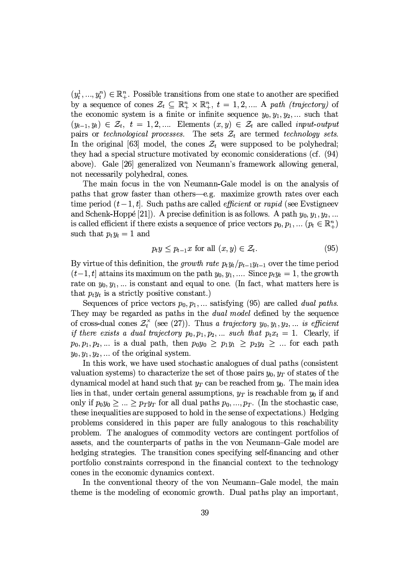$(y_t^1, ..., y_t^n) \in \mathbb{R}_+^n$ . Possible transitions from one state to another are specified by a sequence of cones  $\mathcal{Z}_t \subseteq \mathbb{R}_+^n \times \mathbb{R}_+^n$ ,  $t = 1, 2, ...$  A path (trajectory) of the economic system is a finite or infinite sequence  $y_0, y_1, y_2, ...$  such that  $(y_{t-1}, y_t) \in \mathcal{Z}_t$ ,  $t = 1, 2, \dots$  Elements  $(x, y) \in \mathcal{Z}_t$  are called *input-output* pairs or technological processes. The sets  $\mathcal{Z}_t$  are termed technology sets. In the original [63] model, the cones  $\mathcal{Z}_t$  were supposed to be polyhedral; they had a special structure motivated by economic considerations (cf. (94) above). Gale [26] generalized von Neumann's framework allowing general, not necessarily polyhedral, cones.

The main focus in the von Neumann-Gale model is on the analysis of paths that grow faster than others—e.g. maximize growth rates over each time period  $(t-1, t]$ . Such paths are called *efficient* or *rapid* (see Evstigneev and Schenk-Hoppé [21]). A precise definition is as follows. A path  $y_0, y_1, y_2, ...$ is called efficient if there exists a sequence of price vectors  $p_0, p_1, \dots (p_t \in \mathbb{R}^n_+)$ such that  $p_t y_t = 1$  and

$$
p_t y \le p_{t-1} x \text{ for all } (x, y) \in \mathcal{Z}_t. \tag{95}
$$

By virtue of this definition, the growth rate  $p_t y_t / p_{t-1} y_{t-1}$  over the time period  $(t-1, t]$  attains its maximum on the path  $y_0, y_1, \dots$  Since  $p_t y_t = 1$ , the growth rate on  $y_0, y_1, \ldots$  is constant and equal to one. (In fact, what matters here is that  $p_t y_t$  is a strictly positive constant.)

Sequences of price vectors  $p_0, p_1, \ldots$  satisfying (95) are called *dual paths*. They may be regarded as paths in the *dual model* defined by the sequence of cross-dual cones  $\mathcal{Z}_t^{\times}$  (see (27)). Thus a trajectory  $y_0, y_1, y_2, ...$  is efficient if there exists a dual trajectory  $p_0, p_1, p_2, ...$  such that  $p_t x_t = 1$ . Clearly, if  $p_0, p_1, p_2, \dots$  is a dual path, then  $p_0y_0 \geq p_1y_1 \geq p_2y_2 \geq \dots$  for each path  $y_0, y_1, y_2, \dots$  of the original system.

In this work, we have used stochastic analogues of dual paths (consistent valuation systems) to characterize the set of those pairs  $y_0, y_T$  of states of the dynamical model at hand such that  $y_T$  can be reached from  $y_0$ . The main idea lies in that, under certain general assumptions,  $y_T$  is reachable from  $y_0$  if and only if  $p_0y_0 \geq ... \geq p_Ty_T$  for all dual paths  $p_0, ..., p_T$ . (In the stochastic case, these inequalities are supposed to hold in the sense of expectations.) Hedging problems considered in this paper are fully analogous to this reachability problem. The analogues of commodity vectors are contingent portfolios of assets, and the counterparts of paths in the von Neumann–Gale model are hedging strategies. The transition cones specifying self-financing and other portfolio constraints correspond in the financial context to the technology cones in the economic dynamics context.

In the conventional theory of the von Neumann–Gale model, the main theme is the modeling of economic growth. Dual paths play an important,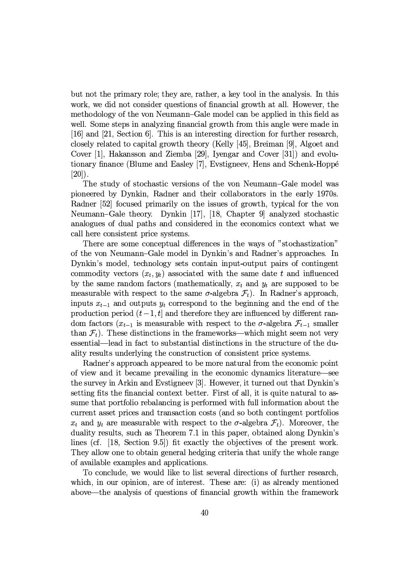but not the primary role; they are, rather, a key tool in the analysis. In this work, we did not consider questions of financial growth at all. However, the methodology of the von Neumann–Gale model can be applied in this field as well. Some steps in analyzing financial growth from this angle were made in [16] and [21, Section 6]. This is an interesting direction for further research, closely related to capital growth theory (Kelly [45], Breiman [9], Algoet and Cover [1], Hakansson and Ziemba [29], Iyengar and Cover [31]) and evolutionary finance (Blume and Easley 7, Evstigneev, Hens and Schenk-Hoppé  $[20]$ ).

The study of stochastic versions of the von Neumann-Gale model was pioneered by Dynkin, Radner and their collaborators in the early 1970s. Radner [52] focused primarily on the issues of growth, typical for the von Neumann-Gale theory. Dynkin [17], [18, Chapter 9] analyzed stochastic analogues of dual paths and considered in the economics context what we call here consistent price systems.

There are some conceptual differences in the ways of "stochastization" of the von Neumann–Gale model in Dynkin's and Radner's approaches. In Dynkin's model, technology sets contain input-output pairs of contingent commodity vectors  $(x_t, y_t)$  associated with the same date t and influenced by the same random factors (mathematically,  $x_t$  and  $y_t$  are supposed to be measurable with respect to the same  $\sigma$ -algebra  $\mathcal{F}_t$ ). In Radner's approach, inputs  $x_{t-1}$  and outputs  $y_t$  correspond to the beginning and the end of the production period  $(t-1, t]$  and therefore they are influenced by different random factors  $(x_{t-1}$  is measurable with respect to the  $\sigma$ -algebra  $\mathcal{F}_{t-1}$  smaller than  $\mathcal{F}_t$ ). These distinctions in the frameworks—which might seem not very essential—lead in fact to substantial distinctions in the structure of the duality results underlying the construction of consistent price systems.

Radner's approach appeared to be more natural from the economic point of view and it became prevailing in the economic dynamics literature see the survey in Arkin and Evstigneev [3]. However, it turned out that Dynkin's setting fits the financial context better. First of all, it is quite natural to assume that portfolio rebalancing is performed with full information about the current asset prices and transaction costs (and so both contingent portfolios  $x_t$  and  $y_t$  are measurable with respect to the  $\sigma$ -algebra  $\mathcal{F}_t$ ). Moreover, the duality results, such as Theorem 7.1 in this paper, obtained along Dynkin's lines (cf.  $[18, \text{ Section } 9.5]$ ) fit exactly the objectives of the present work. They allow one to obtain general hedging criteria that unify the whole range of available examples and applications.

To conclude, we would like to list several directions of further research, which, in our opinion, are of interest. These are: (i) as already mentioned above—the analysis of questions of financial growth within the framework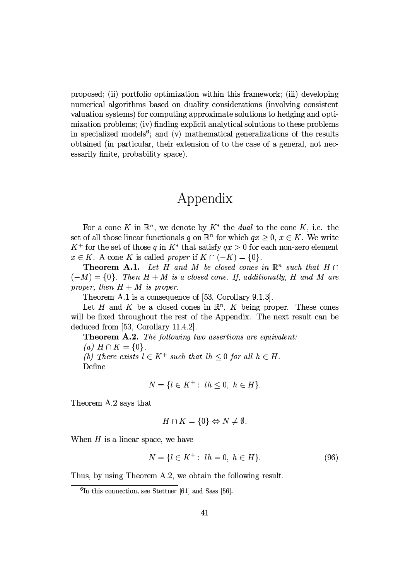proposed; (ii) portfolio optimization within this framework; (iii) developing numerical algorithms based on duality considerations (involving consistent valuation systems) for computing approximate solutions to hedging and optimization problems; (iv) finding explicit analytical solutions to these problems in specialized models<sup>6</sup>; and (v) mathematical generalizations of the results obtained (in particular, their extension of to the case of a general, not necessarily finite, probability space).

## Appendix

For a cone K in  $\mathbb{R}^n$ , we denote by  $K^*$  the *dual* to the cone K, i.e. the set of all those linear functionals q on  $\mathbb{R}^n$  for which  $qx \geq 0$ ,  $x \in K$ . We write  $K^+$  for the set of those q in  $K^*$  that satisfy  $qx > 0$  for each non-zero element  $x \in K$ . A cone K is called proper if  $K \cap (-K) = \{0\}.$ 

**Theorem A.1.** Let H and M be closed cones in  $\mathbb{R}^n$  such that  $H \cap$  $(-M) = \{0\}$ . Then  $H + M$  is a closed cone. If, additionally, H and M are proper, then  $H + M$  is proper.

Theorem A.1 is a consequence of  $[53, Corollary 9.1.3]$ .

Let H and K be a closed cones in  $\mathbb{R}^n$ , K being proper. These cones will be fixed throughout the rest of the Appendix. The next result can be deduced from [53, Corollary 11.4.2].

**Theorem A.2.** The following two assertions are equivalent:

(a)  $H \cap K = \{0\}.$ 

(b) There exists  $l \in K^+$  such that  $lh < 0$  for all  $h \in H$ . Define

$$
N = \{ l \in K^+ : \ lh < 0, \ h \in H \}.
$$

Theorem A.2 says that

$$
H \cap K = \{0\} \Leftrightarrow N \neq \emptyset.
$$

When  $H$  is a linear space, we have

$$
N = \{l \in K^+ : lh = 0, h \in H\}.
$$
\n(96)

Thus, by using Theorem A.2, we obtain the following result.

 ${}^{6}$ In this connection, see Stettner [61] and Sass [56].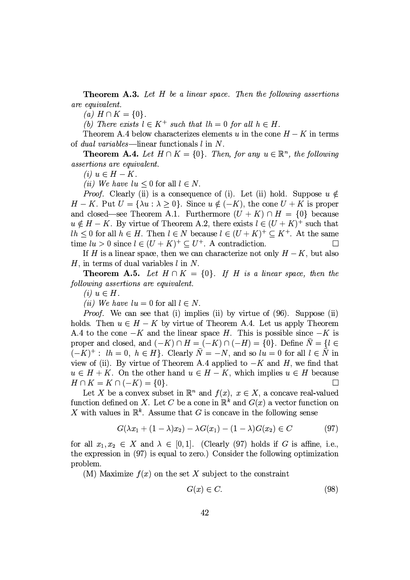**Theorem A.3.** Let  $H$  be a linear space. Then the following assertions are equivalent.

 $\overline{\phantom{a}}$  ,  $\overline{\phantom{a}}$  ,  $\overline{\phantom{a}}$  ,  $\overline{\phantom{a}}$  ,  $\overline{\phantom{a}}$  ,  $\overline{\phantom{a}}$  ,  $\overline{\phantom{a}}$  ,  $\overline{\phantom{a}}$  ,  $\overline{\phantom{a}}$  ,  $\overline{\phantom{a}}$  ,  $\overline{\phantom{a}}$  ,  $\overline{\phantom{a}}$  ,  $\overline{\phantom{a}}$  ,  $\overline{\phantom{a}}$  ,  $\overline{\phantom{a}}$  ,  $\overline{\phantom{a}}$ 

(b) There exists  $l \in K^+$  such that  $lh = 0$  for all  $h \in H$ .

I38+-45+ ~Hz>:.+\*%6Q/84/75+450%k++!C+\*%+(D75! - 0%758#/+- j 0175+45!  $\,$  ,  $\,$  ,  $\,$  ,  $\,$  ,  $\,$  ,  $\,$  ,  $\,$  ,  $\,$  ,  $\,$  ,  $\,$  ,  $\,$  ,  $\,$  ,  $\,$  ,  $\,$  ,  $\,$  ,  $\,$  ,  $\,$  ,  $\,$  ,  $\,$  ,  $\,$  ,  $\,$  ,  $\,$  ,  $\,$  ,  $\,$  ,  $\,$  ,  $\,$  ,  $\,$  ,  $\,$  ,  $\,$  ,  $\,$  ,  $\,$  ,  $\,$ 

TUNE I SE TE FIN DEN A DEN MAN I ANN A DEN A DEN A DEN A DEN A DEN A DEN A DEN A DEN A DEN A DEN A DEN A DEN A  $assertions$  are equivalent.

 $(i) u \in H - K.$ 

 $\mathcal{F}_1$  . The set of the set of the set of  $\mathcal{F}_2$  and  $\mathcal{F}_3$  . The set of  $\mathcal{F}_4$ 

*Proof.* Clearly (ii) is a consequence of (i). Let (ii) hold. Suppose  $u \notin$  jH#t.A7 / - &- T <sup>9</sup> P H=f0%/+ - dHj i59D758>/+- 01!J45JA+4 )Z/+\*1-!5+)mj!5+GI38+-45+ ~H1L-HQW-4575845(-45Kd (<sup>i</sup> / -P :.+/!5  $u \notin H-K$ . By virtue of Theorem A.2, there exists  $l \in (U+K)^+$  such that  $lh \leq 0$  for all  $h \in H$ . Then  $l \in N$  because  $l \in (U+K)^{+} \subseteq K^{+}$ . At the same 750 ( + - 10%) ( + - 10%) ( + d i + d i + d i + d i + d i + d i + d i + d i + d i + d i + d i + d i + d i + d

RS, 0%!>3\*1014C!5J/D9758+6C#//84/+754501k+A-7C-A\*%; j9:7=\*1!5  $H$ , in terms of dual variables  $l$  in  $N$ .


! TUN / -P % RY( PR\ ^:[ZPRLOT`^MX \RV,^MJ`T
N%\$MTLN%\$MT  $following$  assertions are equivalent.

 $(i) u \in H$ .

 $\mathcal{F}_t$  . The set of the set of the set of the set of  $\mathcal{F}_t$ 

*Proof.* We can see that (i) implies (ii) by virtue of  $(96)$ . Suppose (ii) 8-1) H#I38+ - 100-2014 - 100-2014 - 100-2014 - 100-2014 - 100-2014 - 100-2014 - 100-2014 - 100-2014 - 100-2014 A.4 to the cone  $-K$  and the linear space H. This is possible since  $-K$  is  $\frac{1}{2}$  ,  $\frac{1}{2}$  ,  $\frac{1}{2}$  ,  $\frac{1}{2}$  ,  $\frac{1}{2}$  ,  $\frac{1}{2}$  ,  $\frac{1}{2}$  ,  $\frac{1}{2}$  ,  $\frac{1}{2}$  ,  $\frac{1}{2}$  ,  $\frac{1}{2}$  ,  $\frac{1}{2}$  ,  $\frac{1}{2}$  ,  $\frac{1}{2}$  ,  $\frac{1}{2}$  ,  $\frac{1}{2}$  ,  $\frac{1}{2}$  ,  $\frac{1}{2}$  ,  $\frac{1$  $\ell$  , we have the set of  $\ell$  in the set of  $\ell$  in the set of  $\ell$  in the set of  $\ell$ E01+6],dF010Si5H>q;GED0%4575>,I845 ~HzJJ\*10%+)75\_j ) 96C>BA)7587  $u \in H + K$ . On the other hand  $u \in H - K$ , which implies  $u \in H$  because  $H \cap K = K \cap (-K) = \{0\}.$ P HARACTER AND THE RESIDENCE OF THE RESIDENCE OF THE RESIDENCE OF THE RESIDENCE OF THE RESIDENCE OF THE RESIDENCE OF THE RESIDENCE OF THE RESIDENCE OF THE RESIDENCE OF THE RESIDENCE OF THE RESIDENCE OF THE RESIDENCE OF THE

D+7 :AG#/DE-+w!5:!701 BDC) d-iH - 9#/+-/D5E=45D\*1goE\*1+) ,F/7501-)+B+)-H37
 :.3/+-#0%B->)d-iC3E-+/754C,1A/7501-60%758GE\*%A!0% <sup>B</sup>-H ~!5!5(=7587 01!3/+-/D5E#01G758=,F\*%\*163012!!

$$
G(\lambda x_1 + (1 - \lambda)x_2) - \lambda G(x_1) - (1 - \lambda)G(x_2) \in C \tag{97}
$$

for all  $x_1, x_2 \in X$  and  $\lambda \in [0,1]$ . (Clearly (97) holds if G is affine, i.e., the expression in  $(97)$  is equal to zero.) Consider the following optimization problem.

 $\overline{a}$  is  $\overline{a}$  if  $\overline{a}$  is the contract of  $\overline{a}$ 

$$
G(x) \in C. \tag{98}
$$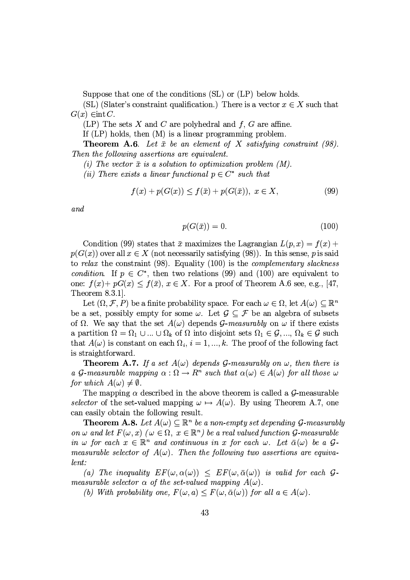Suppose that one of the conditions (SL) or (LP) below holds.

(SL) (Slater's constraint qualification.) There is a vector  $x \in X$  such that  $G(x) \in \text{int } C.$ 

(LP) The sets X and C are polyhedral and  $f, G$  are affine.

If  $(LP)$  holds, then  $(M)$  is a linear programming problem.

**Theorem A.6**. Let  $\bar{x}$  be an element of X satisfying constraint (98). Then the following assertions are equivalent.

(i) The vector  $\bar{x}$  is a solution to optimization problem (M).

(ii) There exists a linear functional  $p \in C^*$  such that

$$
f(x) + p(G(x)) \le f(\bar{x}) + p(G(\bar{x})), \ x \in X,
$$
\n(99)

 $and$ 

$$
p(G(\bar{x})) = 0.\t(100)
$$

Condition (99) states that  $\bar{x}$  maximizes the Lagrangian  $L(p, x) = f(x) +$  $p(G(x))$  over all  $x \in X$  (not necessarily satisfying (98)). In this sense, p is said to relax the constraint  $(98)$ . Equality  $(100)$  is the *complementary slackness condition.* If  $p \in C^*$ , then two relations (99) and (100) are equivalent to one:  $f(x) + pG(x) \le f(\bar{x}), x \in X$ . For a proof of Theorem A.6 see, e.g., [47, Theorem  $8.3.1$ ].

Let  $(\Omega, \mathcal{F}, P)$  be a finite probability space. For each  $\omega \in \Omega$ , let  $A(\omega) \subseteq \mathbb{R}^n$ be a set, possibly empty for some  $\omega$ . Let  $\mathcal{G} \subset \mathcal{F}$  be an algebra of subsets of  $\Omega$ . We say that the set  $A(\omega)$  depends G-measurably on  $\omega$  if there exists a partition  $\Omega = \Omega_1 \cup ... \cup \Omega_k$  of  $\Omega$  into disjoint sets  $\Omega_1 \in \mathcal{G}, ..., \Omega_k \in \mathcal{G}$  such that  $A(\omega)$  is constant on each  $\Omega_i$ ,  $i = 1, ..., k$ . The proof of the following fact is straightforward.

**Theorem A.7.** If a set  $A(\omega)$  depends G-measurably on  $\omega$ , then there is a G-measurable mapping  $\alpha : \Omega \to \mathbb{R}^n$  such that  $\alpha(\omega) \in A(\omega)$  for all those  $\omega$ for which  $A(\omega) \neq \emptyset$ .

The mapping  $\alpha$  described in the above theorem is called a G-measurable selector of the set-valued mapping  $\omega \mapsto A(\omega)$ . By using Theorem A.7, one can easily obtain the following result.

**Theorem A.8.** Let  $A(\omega) \subseteq \mathbb{R}^n$  be a non-empty set depending G-measurably on  $\omega$  and let  $F(\omega, x)$  ( $\omega \in \Omega$ ,  $x \in \mathbb{R}^n$ ) be a real valued function  $\mathcal{G}$ -measurable in  $\omega$  for each  $x \in \mathbb{R}^n$  and continuous in x for each  $\omega$ . Let  $\bar{\alpha}(\omega)$  be a  $\mathcal{G}$ measurable selector of  $A(\omega)$ . Then the following two assertions are equivalent:

(a) The inequality  $EF(\omega, \alpha(\omega)) \leq EF(\omega, \bar{\alpha}(\omega))$  is valid for each  $\mathcal{G}$ measurable selector  $\alpha$  of the set-valued mapping  $A(\omega)$ .

(b) With probability one,  $F(\omega, a) \leq F(\omega, \bar{\alpha}(\omega))$  for all  $a \in A(\omega)$ .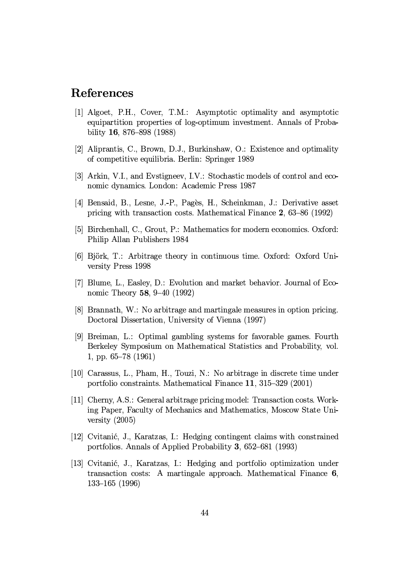## References

- [1] Algoet, P.H., Cover, T.M.: Asymptotic optimality and asymptotic equipartition properties of log-optimum investment. Annals of Probability 16, 876-898 (1988)
- [2] Aliprantis, C., Brown, D.J., Burkinshaw, O.: Existence and optimality of competitive equilibria. Berlin: Springer 1989
- [3] Arkin, V.I., and Evstigneev, I.V.: Stochastic models of control and economic dynamics. London: Academic Press 1987
- [4] Bensaid, B., Lesne, J.-P., Pagès, H., Scheinkman, J.: Derivative asset pricing with transaction costs. Mathematical Finance 2, 63–86 (1992)
- [5] Birchenhall, C., Grout, P.: Mathematics for modern economics. Oxford: Philip Allan Publishers 1984
- [6] Björk, T.: Arbitrage theory in continuous time. Oxford: Oxford University Press 1998
- [7] Blume, L., Easley, D.: Evolution and market behavior. Journal of Economic Theory 58, 9-40 (1992)
- [8] Brannath, W.: No arbitrage and martingale measures in option pricing. Doctoral Dissertation, University of Vienna (1997)
- [9] Breiman, L.: Optimal gambling systems for favorable games. Fourth Berkeley Symposium on Mathematical Statistics and Probability, vol. 1, pp.  $65-78$  (1961)
- [10] Carassus, L., Pham, H., Touzi, N.: No arbitrage in discrete time under portfolio constraints. Mathematical Finance 11, 315-329 (2001)
- [11] Cherny, A.S.: General arbitrage pricing model: Transaction costs. Working Paper, Faculty of Mechanics and Mathematics, Moscow State University  $(2005)$
- [12] Cvitanić, J., Karatzas, I.: Hedging contingent claims with constrained portfolios. Annals of Applied Probability 3, 652–681 (1993)
- [13] Cvitanić, J., Karatzas, I.: Hedging and portfolio optimization under transaction costs: A martingale approach. Mathematical Finance 6,  $133 - 165$  (1996)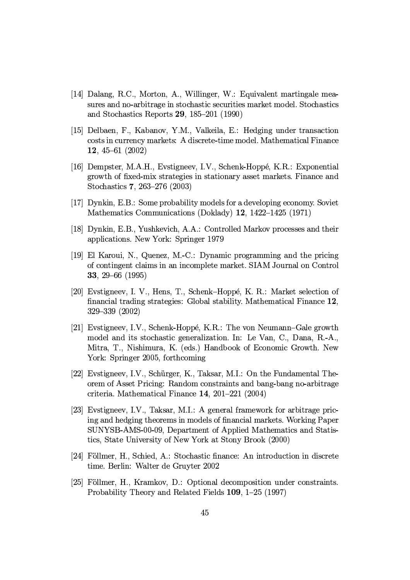- [14] Dalang, R.C., Morton, A., Willinger, W.: Equivalent martingale measures and no-arbitrage in stochastic securities market model. Stochastics and Stochastics Reports 29, 185-201 (1990)
- [15] Delbaen, F., Kabanov, Y.M., Valkeila, E.: Hedging under transaction costs in currency markets: A discrete-time model. Mathematical Finance 12,  $45 - 61$  (2002)
- [16] Dempster, M.A.H., Evstigneev, I.V., Schenk-Hoppé, K.R.: Exponential growth of fixed-mix strategies in stationary asset markets. Finance and Stochastics 7, 263-276 (2003)
- [17] Dynkin, E.B.: Some probability models for a developing economy. Soviet Mathematics Communications (Doklady) 12, 1422-1425 (1971)
- [18] Dynkin, E.B., Yushkevich, A.A.: Controlled Markov processes and their applications. New York: Springer 1979
- [19] El Karoui, N., Quenez, M.-C.: Dynamic programming and the pricing of contingent claims in an incomplete market. SIAM Journal on Control 33. 29-66 (1995)
- [20] Evstigneev, I. V., Hens, T., Schenk–Hoppé, K. R.: Market selection of financial trading strategies: Global stability. Mathematical Finance 12, 329-339 (2002)
- [21] Evstigneev, I.V., Schenk-Hoppé, K.R.: The von Neumann-Gale growth model and its stochastic generalization. In: Le Van, C., Dana, R.-A., Mitra, T., Nishimura, K. (eds.) Handbook of Economic Growth. New York: Springer 2005, forthcoming
- [22] Evstigneev, I.V., Schürger, K., Taksar, M.I.: On the Fundamental Theorem of Asset Pricing: Random constraints and bang-bang no-arbitrage criteria. Mathematical Finance  $14$ , 201-221 (2004)
- [23] Evstigneev, I.V., Taksar, M.I.: A general framework for arbitrage pricing and hedging theorems in models of financial markets. Working Paper SUNYSB-AMS-00-09, Department of Applied Mathematics and Statistics, State University of New York at Stony Brook (2000)
- [24] Föllmer, H., Schied, A.: Stochastic finance: An introduction in discrete time. Berlin: Walter de Gruyter 2002
- [25] Föllmer, H., Kramkov, D.: Optional decomposition under constraints. Probability Theory and Related Fields  $109$ ,  $1-25$  (1997)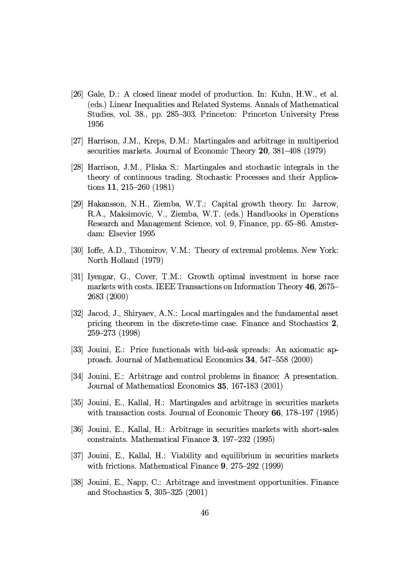- [26] Gale, D.: A closed linear model of production. In: Kuhn, H.W., et al. (eds.) Linear Inequalities and Related Systems. Annals of Mathematical Studies, vol. 38., pp. 285-303. Princeton: Princeton University Press 1956
- [27] Harrison, J.M., Kreps, D.M.: Martingales and arbitrage in multiperiod securities markets. Journal of Economic Theory 20, 381-408 (1979)
- [28] Harrison, J.M., Pliska S.: Martingales and stochastic integrals in the theory of continuous trading. Stochastic Processes and their Applications 11, 215–260  $(1981)$
- [29] Hakansson, N.H., Ziemba, W.T.: Capital growth theory. In: Jarrow, R.A., Maksimovic, V., Ziemba, W.T. (eds.) Handbooks in Operations Research and Management Science, vol. 9, Finance, pp. 65-86. Amsterdam: Elsevier 1995
- [30] Ioffe, A.D., Tihomirov, V.M.: Theory of extremal problems. New York: North Holland (1979)
- [31] Iyengar, G., Cover, T.M.: Growth optimal investment in horse race markets with costs. IEEE Transactions on Information Theory 46, 2675– 2683 (2000)
- [32] Jacod, J., Shiryaev, A.N.: Local martingales and the fundamental asset pricing theorem in the discrete-time case. Finance and Stochastics 2, 259-273 (1998)
- [33] Jouini, E.: Price functionals with bid-ask spreads: An axiomatic approach. Journal of Mathematical Economics 34, 547-558 (2000)
- $|34|$  Jouini, E.: Arbitrage and control problems in finance: A presentation. Journal of Mathematical Economics 35, 167-183 (2001)
- [35] Jouini, E., Kallal, H.: Martingales and arbitrage in securities markets with transaction costs. Journal of Economic Theory  $66$ , 178-197 (1995)
- [36] Jouini, E., Kallal, H.: Arbitrage in securities markets with short-sales constraints. Mathematical Finance 3, 197–232 (1995)
- [37] Jouini, E., Kallal, H.: Viability and equilibrium in securities markets with frictions. Mathematical Finance  $9, 275-292$  (1999)
- [38] Jouini, E., Napp, C.: Arbitrage and investment opportunities. Finance and Stochastics 5, 305-325 (2001)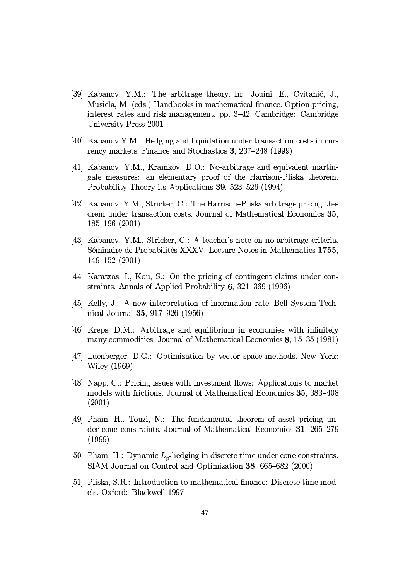- [39] Kabanov, Y.M.: The arbitrage theory. In: Jouini, E., Cvitanić, J., Musiela, M. (eds.) Handbooks in mathematical finance. Option pricing, interest rates and risk management, pp. 3–42. Cambridge: Cambridge University Press 2001
- [40] Kabanov Y.M.: Hedging and liquidation under transaction costs in currency markets. Finance and Stochastics 3, 237–248 (1999)
- [41] Kabanov, Y.M., Kramkov, D.O.: No-arbitrage and equivalent martingale measures: an elementary proof of the Harrison-Pliska theorem. Probability Theory its Applications 39, 523–526 (1994)
- [42] Kabanov, Y.M., Stricker, C.: The Harrison–Pliska arbitrage pricing theorem under transaction costs. Journal of Mathematical Economics 35,  $185 - 196$  (2001)
- [43] Kabanov, Y.M., Stricker, C.: A teacher's note on no-arbitrage criteria. Séminaire de Probabilités XXXV, Lecture Notes in Mathematics 1755,  $149 - 152(2001)$
- [44] Karatzas, I., Kou, S.: On the pricing of contingent claims under constraints. Annals of Applied Probability  $6, 321-369$  (1996)
- [45] Kelly, J.: A new interpretation of information rate. Bell System Technical Journal 35, 917-926 (1956)
- [46] Kreps, D.M.: Arbitrage and equilibrium in economies with infinitely many commodities. Journal of Mathematical Economics  $\mathbf{8}, 15-35$  (1981)
- [47] Luenberger, D.G.: Optimization by vector space methods. New York: Wiley (1969)
- [48] Napp, C.: Pricing issues with investment flows: Applications to market models with frictions. Journal of Mathematical Economics 35, 383-408  $(2001)$
- [49] Pham, H., Touzi, N.: The fundamental theorem of asset pricing under cone constraints. Journal of Mathematical Economics 31, 265–279  $(1999)$
- [50] Pham, H.: Dynamic  $L_p$ -hedging in discrete time under cone constraints. SIAM Journal on Control and Optimization 38, 665–682 (2000)
- [51] Pliska, S.R.: Introduction to mathematical finance: Discrete time models. Oxford: Blackwell 1997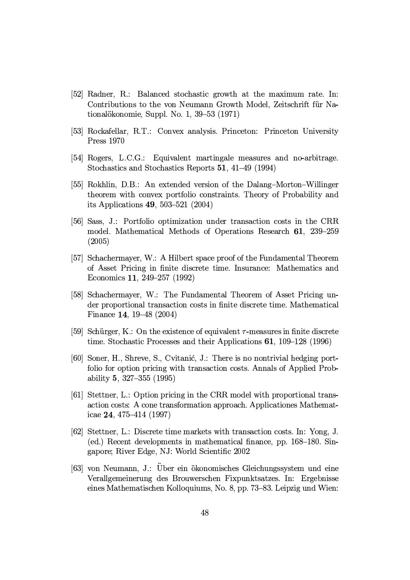- [52] Radner, R.: Balanced stochastic growth at the maximum rate. In: Contributions to the von Neumann Growth Model, Zeitschrift für Nationalökonomie, Suppl. No. 1, 39–53  $(1971)$
- [53] Rockafellar, R.T.: Convex analysis. Princeton: Princeton University **Press 1970**
- [54] Rogers, L.C.G.: Equivalent martingale measures and no-arbitrage. Stochastics and Stochastics Reports 51, 41–49 (1994)
- [55] Rokhlin, D.B.: An extended version of the Dalang–Morton–Willinger theorem with convex portfolio constraints. Theory of Probability and its Applications 49, 503-521  $(2004)$
- [56] Sass, J.: Portfolio optimization under transaction costs in the CRR model. Mathematical Methods of Operations Research 61, 239-259  $(2005)$
- [57] Schachermayer, W.: A Hilbert space proof of the Fundamental Theorem of Asset Pricing in finite discrete time. Insurance: Mathematics and Economics 11, 249-257 (1992)
- [58] Schachermayer, W.: The Fundamental Theorem of Asset Pricing under proportional transaction costs in finite discrete time. Mathematical Finance 14, 19-48 (2004)
- [59] Schürger, K.: On the existence of equivalent  $\tau$ -measures in finite discrete time. Stochastic Processes and their Applications  $61$ , 109-128 (1996)
- [60] Soner, H., Shreve, S., Cvitanić, J.: There is no nontrivial hedging portfolio for option pricing with transaction costs. Annals of Applied Probability 5, 327–355 (1995)
- [61] Stettner, L.: Option pricing in the CRR model with proportional transaction costs: A cone transformation approach. Applicationes Mathematicae  $24, 475 - 414$  (1997)
- [62] Stettner, L.: Discrete time markets with transaction costs. In: Yong, J. (ed.) Recent developments in mathematical finance, pp. 168–180. Singapore; River Edge, NJ: World Scientific 2002
- [63] von Neumann, J.: Über ein ökonomisches Gleichungssystem und eine Verallgemeinerung des Brouwerschen Fixpunktsatzes. In: Ergebnisse eines Mathematischen Kolloquiums, No. 8, pp. 73–83. Leipzig und Wien: